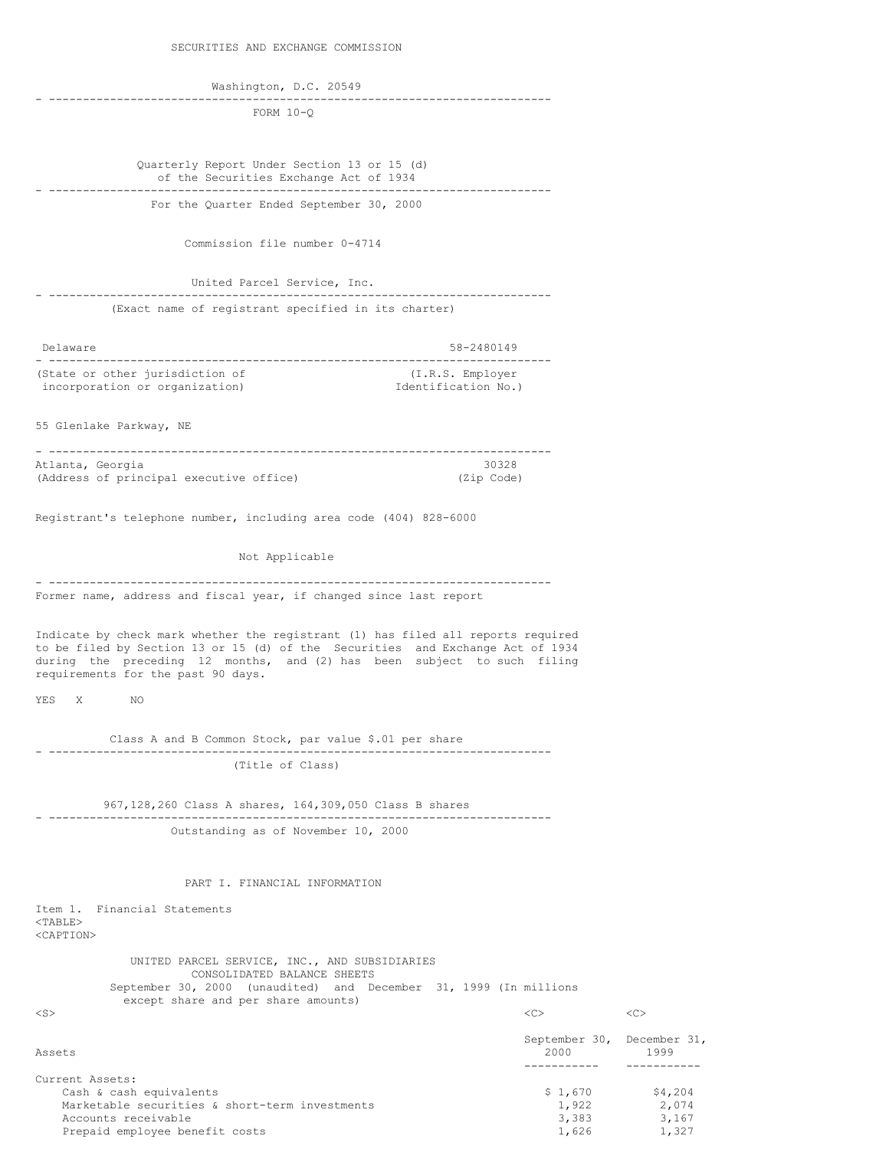Washington, D.C. 20549

- -------------------------------------------------------------------------- FORM 10-Q

Quarterly Report Under Section 13 or 15 (d) of the Securities Exchange Act of 1934 - -------------------------------------------------------------------------- For the Quarter Ended September 30, 2000

Commission file number 0-4714

United Parcel Service, Inc. - -------------------------------------------------------------------------- (Exact name of registrant specified in its charter)

| Delaware                        | 58-2480149          |
|---------------------------------|---------------------|
| (State or other jurisdiction of | (I.R.S. Employer)   |
| incorporation or organization)  | Identification No.) |

55 Glenlake Parkway, NE

| Atlanta, Georgia |                                         |  | 30328      |
|------------------|-----------------------------------------|--|------------|
|                  | (Address of principal executive office) |  | (Zip Code) |

Registrant's telephone number, including area code (404) 828-6000

Not Applicable

- -------------------------------------------------------------------------- Former name, address and fiscal year, if changed since last report

Indicate by check mark whether the registrant (1) has filed all reports required to be filed by Section 13 or 15 (d) of the Securities and Exchange Act of 1934 during the preceding 12 months, and (2) has been subject to such filing requirements for the past 90 days.

YES X NO

Class A and B Common Stock, par value \$.01 per share - -------------------------------------------------------------------------- (Title of Class)

967,128,260 Class A shares, 164,309,050 Class B shares - -------------------------------------------------------------------------- Outstanding as of November 10, 2000

PART I. FINANCIAL INFORMATION

Item 1. Financial Statements <TABLE> <CAPTION>

> UNITED PARCEL SERVICE, INC., AND SUBSIDIARIES CONSOLIDATED BALANCE SHEETS September 30, 2000 (unaudited) and December 31, 1999 (In millions except share and per share amounts)

<S> <C> <C> September 30, December 31, Assets 2000 1999 ----------- ----------- Current Assets: Cash & cash equivalents  $$ 1,670$   $$ 4,204$ <br>Marketable securities & short-term investments  $1,922$   $2,074$ Marketable securities & short-term investments  $1,922$   $2,074$ <br>Accounts receivable  $3,383$   $3,167$ Accounts receivable 3,383 3,167<br>Prepaid employee benefit costs 3,383 3,167 Prepaid employee benefit costs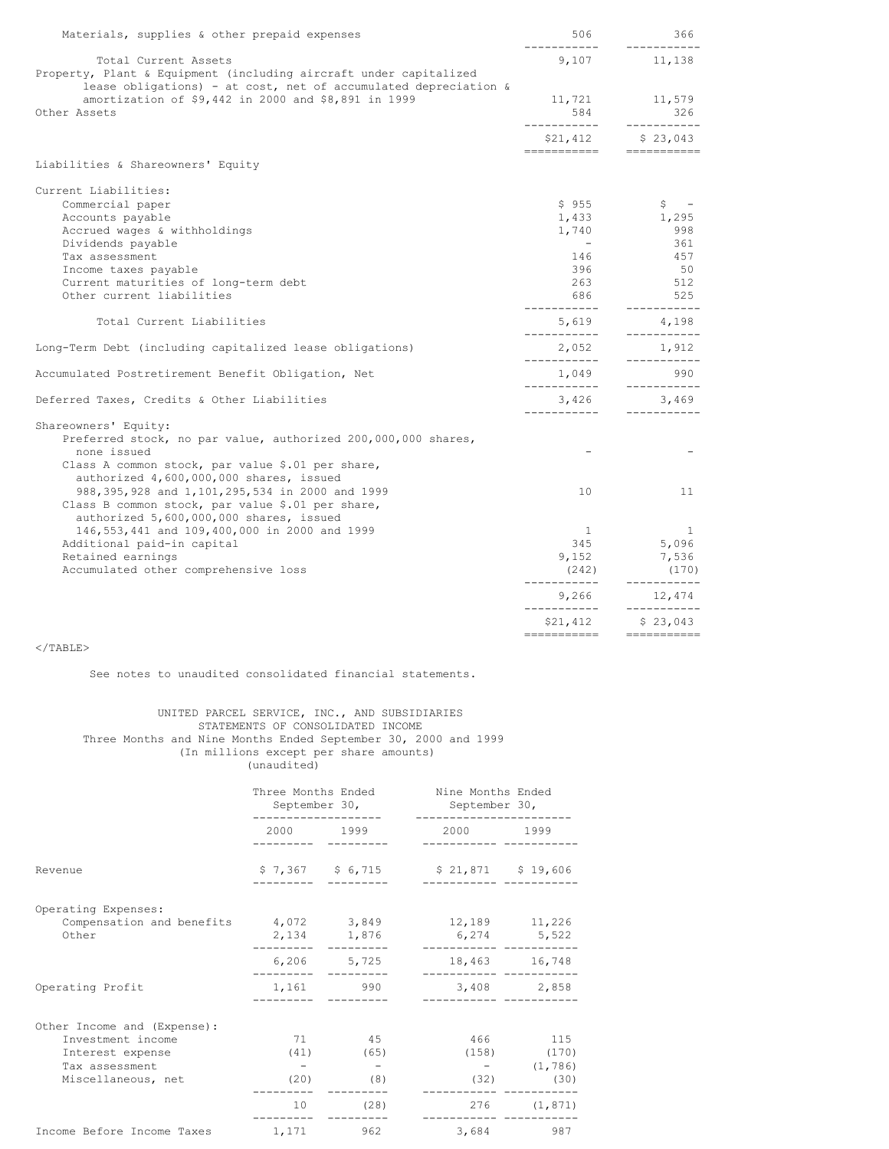| Materials, supplies & other prepaid expenses                       | 506                     | 366                                  |
|--------------------------------------------------------------------|-------------------------|--------------------------------------|
| Total Current Assets                                               | 9,107                   | -----------<br>11,138                |
| Property, Plant & Equipment (including aircraft under capitalized  |                         |                                      |
| lease obligations) - at cost, net of accumulated depreciation $\&$ |                         |                                      |
| amortization of \$9,442 in 2000 and \$8,891 in 1999                | 11,721<br>584           | 11,579                               |
| Other Assets                                                       | ------------            | 326<br>-----------                   |
|                                                                    | \$21,412                | \$23,043<br>======================== |
| Liabilities & Shareowners' Equity                                  |                         |                                      |
| Current Liabilities:                                               |                         |                                      |
| Commercial paper                                                   | \$955                   | $\mathsf{S}$ $-$                     |
| Accounts payable                                                   | 1,433                   | 1,295                                |
| Accrued wages & withholdings                                       | 1,740                   | 998                                  |
| Dividends payable                                                  | $\sim$ $-$              | 361                                  |
| Tax assessment                                                     | 146                     | 457                                  |
| Income taxes payable                                               | 396                     | 50                                   |
| Current maturities of long-term debt                               | 263                     | 512                                  |
| Other current liabilities                                          | 686                     | 525                                  |
| Total Current Liabilities                                          | ------------<br>5,619   | -----------<br>4,198                 |
| Long-Term Debt (including capitalized lease obligations)           | ___________<br>2,052    | -----------<br>1,912                 |
| Accumulated Postretirement Benefit Obligation, Net                 | -----------<br>1,049    | -----------<br>990                   |
| Deferred Taxes, Credits & Other Liabilities                        | ___________<br>3,426    | ___________<br>3,469                 |
| Shareowners' Equity:                                               | ------------            | -----------                          |
| Preferred stock, no par value, authorized 200,000,000 shares,      |                         |                                      |
| none issued                                                        |                         |                                      |
| Class A common stock, par value \$.01 per share,                   |                         |                                      |
| authorized 4,600,000,000 shares, issued                            |                         |                                      |
| 988, 395, 928 and 1, 101, 295, 534 in 2000 and 1999                | 10 <sup>°</sup>         | 11                                   |
| Class B common stock, par value \$.01 per share,                   |                         |                                      |
| authorized 5,600,000,000 shares, issued                            |                         |                                      |
| 146, 553, 441 and 109, 400, 000 in 2000 and 1999                   | $\mathbf{1}$            | $\mathbf{1}$                         |
| Additional paid-in capital                                         | 345                     | 5,096                                |
| Retained earnings                                                  | 9,152                   | 7,536                                |
| Accumulated other comprehensive loss                               | (242)                   | (170)                                |
|                                                                    | ------------<br>9,266   | ------------<br>12,474               |
|                                                                    | ___________<br>\$21,412 | -----------<br>\$23,043              |
|                                                                    | ===========             | $=$ ===========                      |

 $<$ /TABLE>

See notes to unaudited consolidated financial statements.

## UNITED PARCEL SERVICE, INC., AND SUBSIDIARIES STATEMENTS OF CONSOLIDATED INCOME Three Months and Nine Months Ended September 30, 2000 and 1999 (In millions except per share amounts) (unaudited)

|                                                                                                              | Three Months Ended Nine Months Ended<br>September 30,<br>------------ |                                            | September 30,<br>------------            |                                                               |
|--------------------------------------------------------------------------------------------------------------|-----------------------------------------------------------------------|--------------------------------------------|------------------------------------------|---------------------------------------------------------------|
|                                                                                                              |                                                                       | 2000 1999                                  | 2000 1999                                |                                                               |
| Revenue                                                                                                      |                                                                       | $$7,367$ $$6,715$                          | $$21,871$ $$19,606$                      |                                                               |
| Operating Expenses:<br>Compensation and benefits<br>Other                                                    |                                                                       | 2,134 1,876                                | 4,072 3,849 12,189 11,226<br>6,274 5,522 |                                                               |
|                                                                                                              |                                                                       | 6,206 5,725                                | 18,463 16,748                            |                                                               |
| Operating Profit                                                                                             |                                                                       | 1,161 990                                  |                                          | 3,408 2,858                                                   |
| Other Income and (Expense):<br>Investment income<br>Interest expense<br>Tax assessment<br>Miscellaneous, net | 71<br>(20)<br>10 <sub>1</sub>                                         | 45<br>$(41)$ (65)<br>$\sim$<br>(8)<br>(28) | (32)<br>276                              | 466 115<br>$(158)$ $(170)$<br>$-$ (1,786)<br>(30)<br>(1, 871) |
| Income Before Income Taxes                                                                                   | 1, 171                                                                | 962                                        |                                          | 3,684 987                                                     |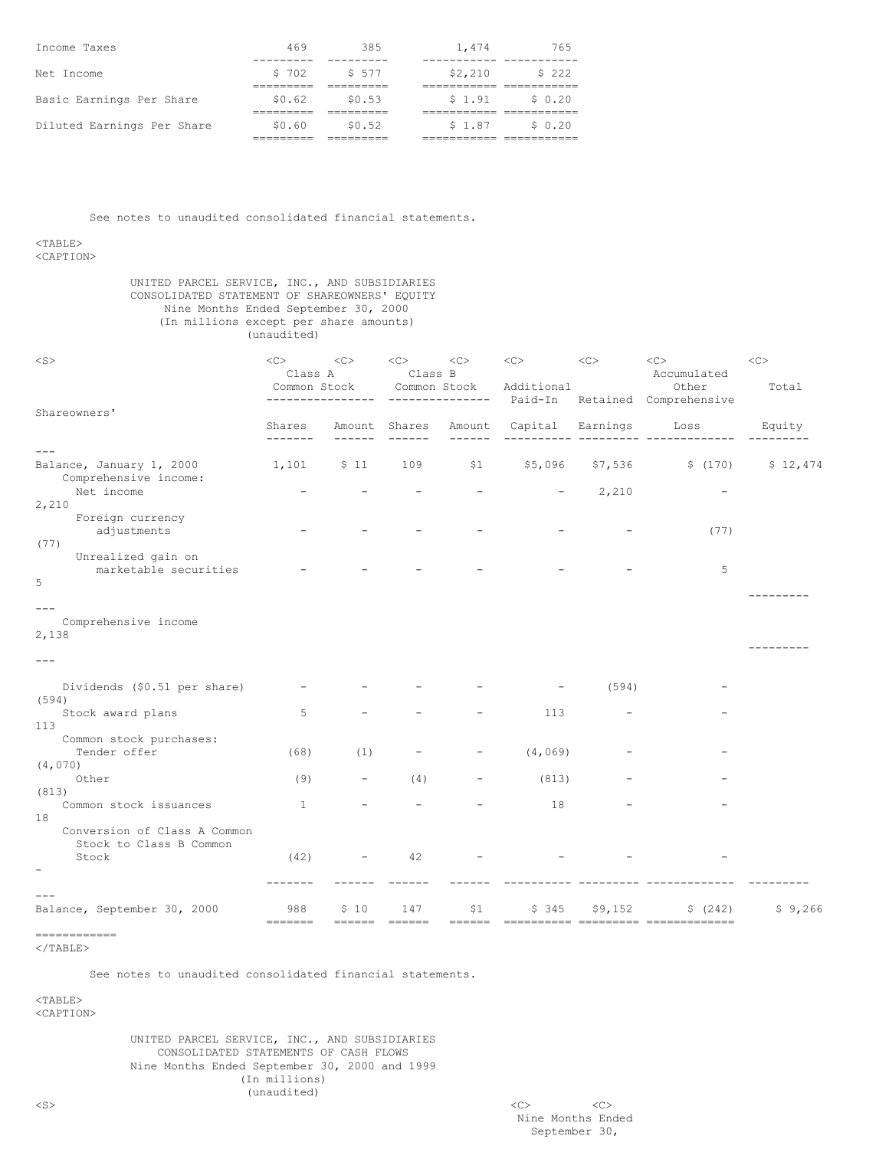| Income Taxes               | 469    | 385    | 1,474    | 765     |
|----------------------------|--------|--------|----------|---------|
| Net Income                 | \$702  | \$ 577 | \$2,210  | \$222   |
| Basic Earnings Per Share   | \$0.62 | \$0.53 | $S_1.91$ | \$ 0.20 |
|                            |        |        |          |         |
| Diluted Earnings Per Share | \$0.60 | \$0.52 | \$1.87   | \$ 0.20 |
|                            |        |        |          |         |

See notes to unaudited consolidated financial statements.

<TABLE>

<CAPTION>

# UNITED PARCEL SERVICE, INC., AND SUBSIDIARIES CONSOLIDATED STATEMENT OF SHAREOWNERS' EQUITY Nine Months Ended September 30, 2000 (In millions except per share amounts) (unaudited)

| $<$ S $>$                                                              | <<<br>Class A<br>Common Stock | <<                       | < <sub><br/>Class B<br/>Common Stock</sub> | <<                                                               | <<<br>Additional | <<       | <<<br>Accumulated<br>Other                      | $<\!\!\rm C\!\!>$<br>Total |
|------------------------------------------------------------------------|-------------------------------|--------------------------|--------------------------------------------|------------------------------------------------------------------|------------------|----------|-------------------------------------------------|----------------------------|
| Shareowners'                                                           | Shares                        |                          |                                            |                                                                  | Paid-In          | Retained | Comprehensive                                   |                            |
|                                                                        | -------                       |                          | Amount Shares                              | Amount                                                           | Capital          | Earnings | Loss                                            | Equity                     |
| $---$                                                                  |                               |                          |                                            |                                                                  |                  |          |                                                 |                            |
| Balance, January 1, 2000<br>Comprehensive income:                      | $1,101$ $$11$                 |                          | 109                                        | \$1                                                              | \$5,096          | \$7,536  | \$(170)                                         | \$12,474                   |
| Net income                                                             |                               |                          |                                            |                                                                  |                  | 2,210    |                                                 |                            |
| 2,210                                                                  |                               |                          |                                            |                                                                  |                  |          |                                                 |                            |
| Foreign currency<br>adjustments<br>(77)                                |                               |                          |                                            |                                                                  |                  |          | (77)                                            |                            |
| Unrealized gain on                                                     |                               |                          |                                            |                                                                  |                  |          |                                                 |                            |
| marketable securities                                                  |                               |                          |                                            |                                                                  |                  |          | 5                                               |                            |
| 5                                                                      |                               |                          |                                            |                                                                  |                  |          |                                                 |                            |
|                                                                        |                               |                          |                                            |                                                                  |                  |          |                                                 |                            |
| $---$<br>Comprehensive income                                          |                               |                          |                                            |                                                                  |                  |          |                                                 |                            |
| 2,138                                                                  |                               |                          |                                            |                                                                  |                  |          |                                                 |                            |
| $- - -$                                                                |                               |                          |                                            |                                                                  |                  |          |                                                 |                            |
| Dividends (\$0.51 per share)                                           |                               |                          |                                            |                                                                  |                  | (594)    |                                                 |                            |
| (594)                                                                  |                               |                          |                                            |                                                                  |                  |          |                                                 |                            |
| Stock award plans                                                      | 5                             |                          |                                            |                                                                  | 113              |          |                                                 |                            |
| 113                                                                    |                               |                          |                                            |                                                                  |                  |          |                                                 |                            |
| Common stock purchases:                                                |                               |                          |                                            |                                                                  |                  |          |                                                 |                            |
| Tender offer                                                           | (68)                          | (1)                      |                                            |                                                                  | (4, 069)         |          |                                                 |                            |
| (4,070)<br>Other                                                       | (9)                           | $\overline{\phantom{a}}$ | (4)                                        |                                                                  | (813)            |          |                                                 |                            |
| (813)                                                                  |                               |                          |                                            |                                                                  |                  |          |                                                 |                            |
| Common stock issuances                                                 | $\mathbf{1}$                  |                          |                                            |                                                                  | 18               |          |                                                 |                            |
| 18<br>Conversion of Class A Common<br>Stock to Class B Common<br>Stock | (42)                          |                          | 42                                         |                                                                  |                  |          |                                                 |                            |
|                                                                        |                               |                          |                                            |                                                                  |                  |          |                                                 |                            |
|                                                                        |                               |                          |                                            |                                                                  |                  |          |                                                 |                            |
| Balance, September 30, 2000                                            | 988<br>-------                | \$10<br>——————           | 147<br>======                              | \$1<br>$\qquad \qquad \equiv \equiv \equiv \equiv \equiv \equiv$ | \$345            | \$9,152  | \$ (242)<br>---------- --------- -------------- | \$9,266                    |

<sup>&</sup>lt;/TABLE>

============

See notes to unaudited consolidated financial statements.

<TABLE> <CAPTION>

> UNITED PARCEL SERVICE, INC., AND SUBSIDIARIES CONSOLIDATED STATEMENTS OF CASH FLOWS Nine Months Ended September 30, 2000 and 1999 (In millions) (unaudited)

<S> <C> <C> Nine Months Ended September 30,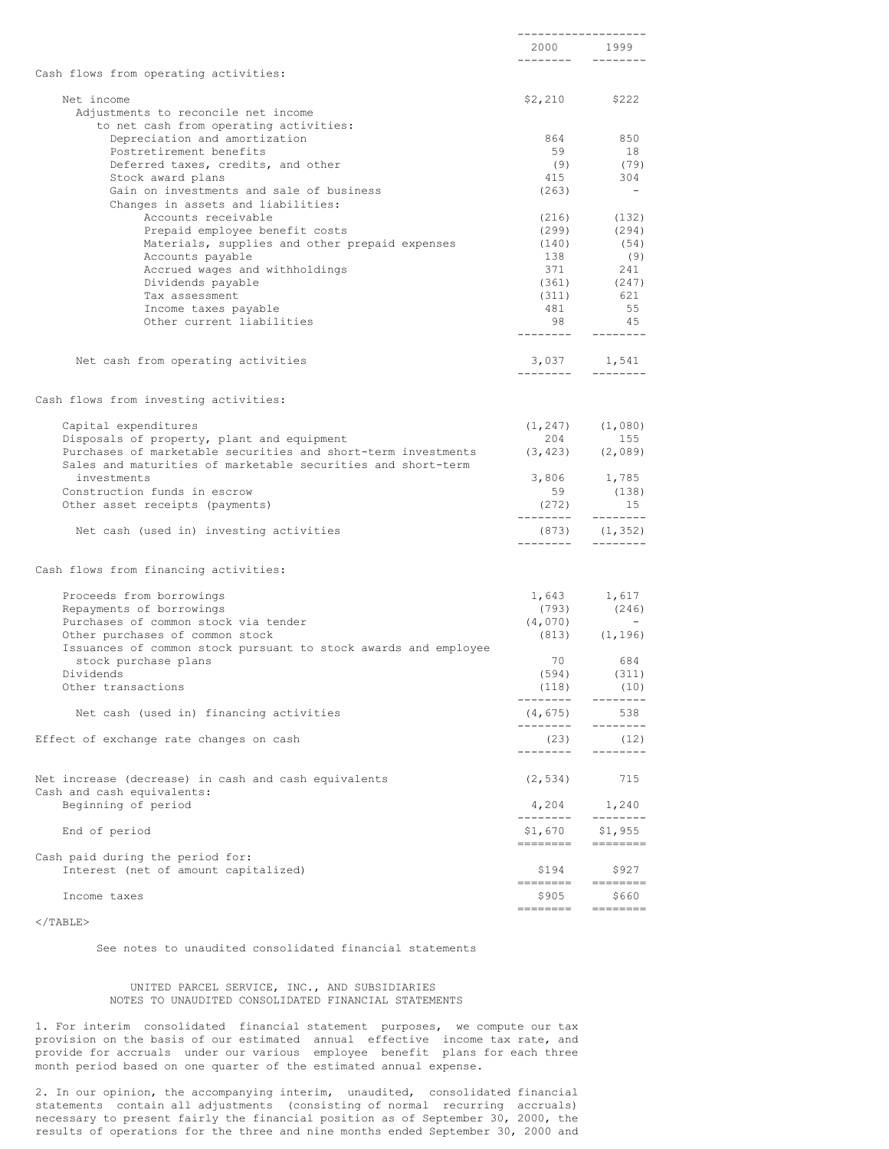|                                                                                                             | -------------------<br>2000 — 2000 — 2000 — 2000 — 2000 — 2000 — 2000 — 2000 — 2000 — 2000 — 2000 — 2000 — 2000 — 2000 — 2000 — 2000 — 2000 — 2000 — 2000 — 2000 — 2000 — 2000 — 2000 — 2000 — 2000 — 2000 — 2000 — 2000 — 2000 — 2000 — 2000 — 2000 —<br>---------                                                                                                                                                                                                                                                          | 1999<br>--------                                                                                                                                                                                                                                                                                                                                                                                                                                                                                                  |
|-------------------------------------------------------------------------------------------------------------|------------------------------------------------------------------------------------------------------------------------------------------------------------------------------------------------------------------------------------------------------------------------------------------------------------------------------------------------------------------------------------------------------------------------------------------------------------------------------------------------------------------------------|-------------------------------------------------------------------------------------------------------------------------------------------------------------------------------------------------------------------------------------------------------------------------------------------------------------------------------------------------------------------------------------------------------------------------------------------------------------------------------------------------------------------|
| Cash flows from operating activities:                                                                       |                                                                                                                                                                                                                                                                                                                                                                                                                                                                                                                              |                                                                                                                                                                                                                                                                                                                                                                                                                                                                                                                   |
| Net income                                                                                                  | \$2,210                                                                                                                                                                                                                                                                                                                                                                                                                                                                                                                      | \$222                                                                                                                                                                                                                                                                                                                                                                                                                                                                                                             |
| Adjustments to reconcile net income                                                                         |                                                                                                                                                                                                                                                                                                                                                                                                                                                                                                                              |                                                                                                                                                                                                                                                                                                                                                                                                                                                                                                                   |
| to net cash from operating activities:                                                                      |                                                                                                                                                                                                                                                                                                                                                                                                                                                                                                                              |                                                                                                                                                                                                                                                                                                                                                                                                                                                                                                                   |
| Depreciation and amortization<br>Postretirement benefits                                                    | 864<br>59                                                                                                                                                                                                                                                                                                                                                                                                                                                                                                                    | 850<br>18                                                                                                                                                                                                                                                                                                                                                                                                                                                                                                         |
| Deferred taxes, credits, and other                                                                          | (9)                                                                                                                                                                                                                                                                                                                                                                                                                                                                                                                          | (79)                                                                                                                                                                                                                                                                                                                                                                                                                                                                                                              |
| Stock award plans                                                                                           | 415                                                                                                                                                                                                                                                                                                                                                                                                                                                                                                                          | 304                                                                                                                                                                                                                                                                                                                                                                                                                                                                                                               |
| Gain on investments and sale of business<br>Changes in assets and liabilities:                              | (263)                                                                                                                                                                                                                                                                                                                                                                                                                                                                                                                        |                                                                                                                                                                                                                                                                                                                                                                                                                                                                                                                   |
| Accounts receivable                                                                                         | (216)                                                                                                                                                                                                                                                                                                                                                                                                                                                                                                                        | (132)                                                                                                                                                                                                                                                                                                                                                                                                                                                                                                             |
| Prepaid employee benefit costs                                                                              | (299)                                                                                                                                                                                                                                                                                                                                                                                                                                                                                                                        | (294)                                                                                                                                                                                                                                                                                                                                                                                                                                                                                                             |
| Materials, supplies and other prepaid expenses                                                              | (140)                                                                                                                                                                                                                                                                                                                                                                                                                                                                                                                        | (54)                                                                                                                                                                                                                                                                                                                                                                                                                                                                                                              |
| Accounts payable                                                                                            | 138                                                                                                                                                                                                                                                                                                                                                                                                                                                                                                                          | (9)                                                                                                                                                                                                                                                                                                                                                                                                                                                                                                               |
| Accrued wages and withholdings                                                                              | 371                                                                                                                                                                                                                                                                                                                                                                                                                                                                                                                          | 241                                                                                                                                                                                                                                                                                                                                                                                                                                                                                                               |
| Dividends payable                                                                                           | (361)                                                                                                                                                                                                                                                                                                                                                                                                                                                                                                                        | (247)                                                                                                                                                                                                                                                                                                                                                                                                                                                                                                             |
| Tax assessment                                                                                              | (311)                                                                                                                                                                                                                                                                                                                                                                                                                                                                                                                        | 621                                                                                                                                                                                                                                                                                                                                                                                                                                                                                                               |
| Income taxes payable                                                                                        | 481                                                                                                                                                                                                                                                                                                                                                                                                                                                                                                                          | 55                                                                                                                                                                                                                                                                                                                                                                                                                                                                                                                |
| Other current liabilities                                                                                   | 98<br>--------                                                                                                                                                                                                                                                                                                                                                                                                                                                                                                               | 45<br>--------                                                                                                                                                                                                                                                                                                                                                                                                                                                                                                    |
| Net cash from operating activities                                                                          | 3,037                                                                                                                                                                                                                                                                                                                                                                                                                                                                                                                        | 1,541                                                                                                                                                                                                                                                                                                                                                                                                                                                                                                             |
|                                                                                                             | .                                                                                                                                                                                                                                                                                                                                                                                                                                                                                                                            | --------                                                                                                                                                                                                                                                                                                                                                                                                                                                                                                          |
| Cash flows from investing activities:                                                                       |                                                                                                                                                                                                                                                                                                                                                                                                                                                                                                                              |                                                                                                                                                                                                                                                                                                                                                                                                                                                                                                                   |
| Capital expenditures                                                                                        |                                                                                                                                                                                                                                                                                                                                                                                                                                                                                                                              | $(1, 247)$ $(1, 080)$                                                                                                                                                                                                                                                                                                                                                                                                                                                                                             |
| Disposals of property, plant and equipment<br>Purchases of marketable securities and short-term investments | 204                                                                                                                                                                                                                                                                                                                                                                                                                                                                                                                          | 155<br>$(3, 423)$ $(2, 089)$                                                                                                                                                                                                                                                                                                                                                                                                                                                                                      |
| Sales and maturities of marketable securities and short-term<br>investments                                 | 3,806                                                                                                                                                                                                                                                                                                                                                                                                                                                                                                                        | 1,785                                                                                                                                                                                                                                                                                                                                                                                                                                                                                                             |
| Construction funds in escrow                                                                                | 59                                                                                                                                                                                                                                                                                                                                                                                                                                                                                                                           | (138)                                                                                                                                                                                                                                                                                                                                                                                                                                                                                                             |
| Other asset receipts (payments)                                                                             | (272)<br>-------                                                                                                                                                                                                                                                                                                                                                                                                                                                                                                             | 15<br>---------                                                                                                                                                                                                                                                                                                                                                                                                                                                                                                   |
| Net cash (used in) investing activities                                                                     | (873)<br>------                                                                                                                                                                                                                                                                                                                                                                                                                                                                                                              | (1, 352)<br>--------                                                                                                                                                                                                                                                                                                                                                                                                                                                                                              |
| Cash flows from financing activities:                                                                       |                                                                                                                                                                                                                                                                                                                                                                                                                                                                                                                              |                                                                                                                                                                                                                                                                                                                                                                                                                                                                                                                   |
| Proceeds from borrowings                                                                                    | 1,643                                                                                                                                                                                                                                                                                                                                                                                                                                                                                                                        | 1,617                                                                                                                                                                                                                                                                                                                                                                                                                                                                                                             |
| Repayments of borrowings                                                                                    | (793)                                                                                                                                                                                                                                                                                                                                                                                                                                                                                                                        | (246)                                                                                                                                                                                                                                                                                                                                                                                                                                                                                                             |
| Purchases of common stock via tender                                                                        | (4, 070)                                                                                                                                                                                                                                                                                                                                                                                                                                                                                                                     |                                                                                                                                                                                                                                                                                                                                                                                                                                                                                                                   |
| Other purchases of common stock                                                                             | (813)                                                                                                                                                                                                                                                                                                                                                                                                                                                                                                                        | (1, 196)                                                                                                                                                                                                                                                                                                                                                                                                                                                                                                          |
| Issuances of common stock pursuant to stock awards and employee                                             |                                                                                                                                                                                                                                                                                                                                                                                                                                                                                                                              |                                                                                                                                                                                                                                                                                                                                                                                                                                                                                                                   |
| stock purchase plans                                                                                        | 70                                                                                                                                                                                                                                                                                                                                                                                                                                                                                                                           | 684                                                                                                                                                                                                                                                                                                                                                                                                                                                                                                               |
| Dividends                                                                                                   | (594)                                                                                                                                                                                                                                                                                                                                                                                                                                                                                                                        | (311)                                                                                                                                                                                                                                                                                                                                                                                                                                                                                                             |
| Other transactions                                                                                          | (118)<br>--------                                                                                                                                                                                                                                                                                                                                                                                                                                                                                                            | (10)<br>--------                                                                                                                                                                                                                                                                                                                                                                                                                                                                                                  |
| Net cash (used in) financing activities                                                                     | (4, 675)<br>---------                                                                                                                                                                                                                                                                                                                                                                                                                                                                                                        | 538<br>$- - - - - - - -$                                                                                                                                                                                                                                                                                                                                                                                                                                                                                          |
| Effect of exchange rate changes on cash                                                                     | (23)<br>---------                                                                                                                                                                                                                                                                                                                                                                                                                                                                                                            | (12)<br>$- - - - - - - -$                                                                                                                                                                                                                                                                                                                                                                                                                                                                                         |
| Net increase (decrease) in cash and cash equivalents                                                        | (2, 534)                                                                                                                                                                                                                                                                                                                                                                                                                                                                                                                     | 715                                                                                                                                                                                                                                                                                                                                                                                                                                                                                                               |
| Cash and cash equivalents:<br>Beginning of period                                                           | 4,204                                                                                                                                                                                                                                                                                                                                                                                                                                                                                                                        | 1,240                                                                                                                                                                                                                                                                                                                                                                                                                                                                                                             |
|                                                                                                             | ---------                                                                                                                                                                                                                                                                                                                                                                                                                                                                                                                    | $- - - - - - - -$                                                                                                                                                                                                                                                                                                                                                                                                                                                                                                 |
| End of period                                                                                               | $$1,670$ $$1,955$<br>========                                                                                                                                                                                                                                                                                                                                                                                                                                                                                                | $\begin{tabular}{ll} \multicolumn{3}{l}{{\color{red}\hbox{}}}\end{tabular} \begin{tabular}{l} \multicolumn{3}{l}{\textbf{}}}\end{tabular} \begin{tabular}{l} \multicolumn{3}{l}\textbf{}}\end{tabular} \begin{tabular}{l} \multicolumn{3}{l}\textbf{}}\end{tabular} \begin{tabular}{l} \multicolumn{3}{l}\textbf{}}\end{tabular} \begin{tabular}{l}\n \multicolumn{3}{l}\textbf{}}\end{tabular} \begin{tabular}{l}\n \multicolumn{3}{l}\textbf{}}\end{tabular} \begin{tabular}{l}\n \multicolumn{3}{l}\textbf{}}$ |
| Cash paid during the period for:<br>Interest (net of amount capitalized)                                    | \$194                                                                                                                                                                                                                                                                                                                                                                                                                                                                                                                        | \$927                                                                                                                                                                                                                                                                                                                                                                                                                                                                                                             |
| Income taxes                                                                                                | $\begin{tabular}{ll} \multicolumn{3}{l}{{\color{blue}\textbf{1}}}\\ \multicolumn{3}{l}{\color{blue}\textbf{2}}\\ \multicolumn{3}{l}{\color{blue}\textbf{2}}\\ \multicolumn{3}{l}{\color{blue}\textbf{3}}\\ \multicolumn{3}{l}{\color{blue}\textbf{4}}\\ \multicolumn{3}{l}{\color{blue}\textbf{4}}\\ \multicolumn{3}{l}{\color{blue}\textbf{5}}\\ \multicolumn{3}{l}{\color{blue}\textbf{5}}\\ \multicolumn{3}{l}{\color{blue}\textbf{5}}\\ \multicolumn{3}{l}{\color{blue}\textbf{6}}\\ \multicolumn{3}{l}{\color$<br>\$905 | ========<br>\$660                                                                                                                                                                                                                                                                                                                                                                                                                                                                                                 |
|                                                                                                             | ========                                                                                                                                                                                                                                                                                                                                                                                                                                                                                                                     | $\begin{tabular}{ll} \multicolumn{3}{l}{{\color{red}\hbox{}}}\end{tabular} \begin{tabular}{l} \multicolumn{3}{l}{\textbf{}}}\end{tabular} \begin{tabular}{l} \multicolumn{3}{l}\textbf{}}\end{tabular} \begin{tabular}{l} \multicolumn{3}{l}\textbf{}}\end{tabular} \begin{tabular}{l} \multicolumn{3}{l}\textbf{}}\end{tabular} \begin{tabular}{l}\n \multicolumn{3}{l}\textbf{}}\end{tabular} \begin{tabular}{l}\n \multicolumn{3}{l}\textbf{}}\end{tabular} \begin{tabular}{l}\n \multicolumn{3}{l}\textbf{}}$ |

 $<$ /TABLE>

See notes to unaudited consolidated financial statements

## UNITED PARCEL SERVICE, INC., AND SUBSIDIARIES NOTES TO UNAUDITED CONSOLIDATED FINANCIAL STATEMENTS

1. For interim consolidated financial statement purposes, we compute our tax provision on the basis of our estimated annual effective income tax rate, and provide for accruals under our various employee benefit plans for each three month period based on one quarter of the estimated annual expense.

2. In our opinion, the accompanying interim, unaudited, consolidated financial statements contain all adjustments (consisting of normal recurring accruals) necessary to present fairly the financial position as of September 30, 2000, the results of operations for the three and nine months ended September 30, 2000 and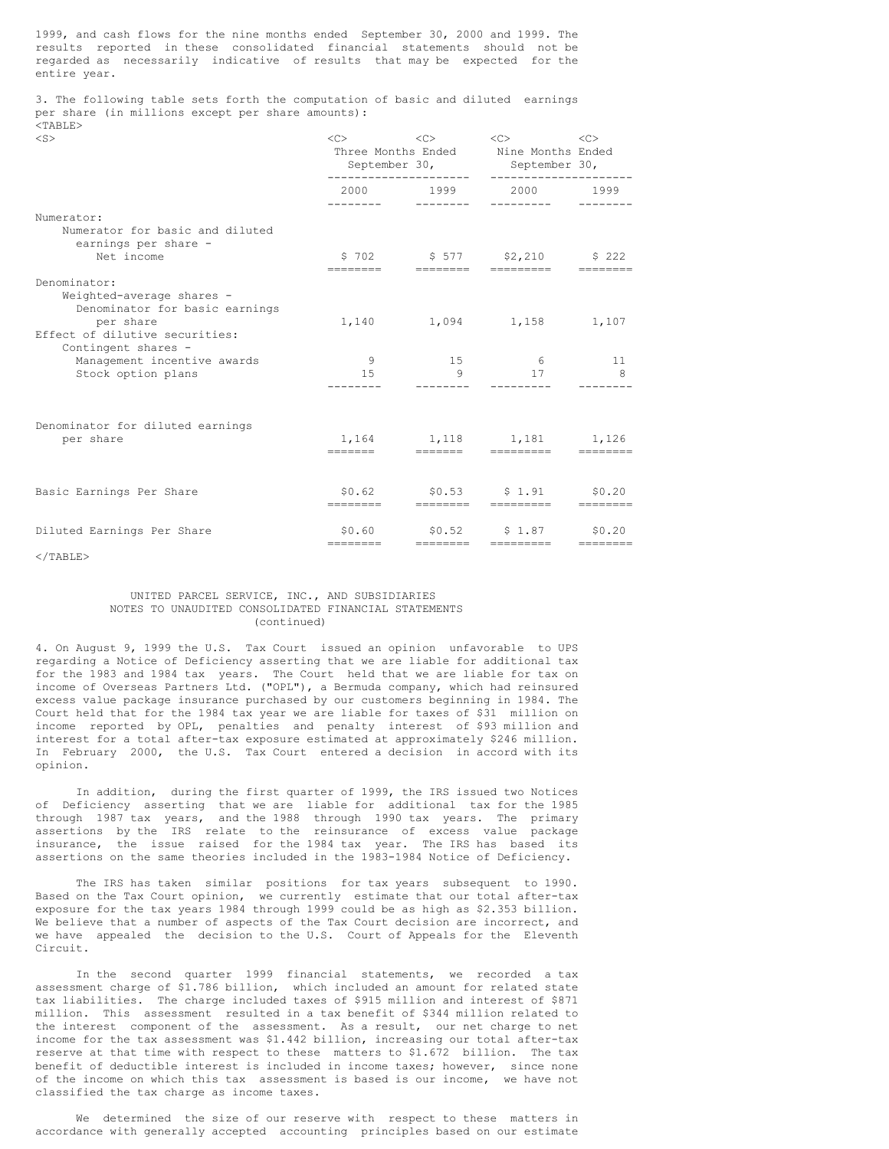1999, and cash flows for the nine months ended September 30, 2000 and 1999. The results reported in these consolidated financial statements should not be regarded as necessarily indicative of results that may be expected for the entire year.

3. The following table sets forth the computation of basic and diluted earnings per share (in millions except per share amounts):  $<$ TABLE $>$ 

| × |  |
|---|--|

| $<$ S $>$                                                                                                                  | < <sub></sub>         | $<<$ $>>$<br>--------------------- | < <c><br/>&lt;&lt;<br/>Three Months Ended Nine Months Ended<br/>September 30, September 30,<br/>-------------------</c> |                       |
|----------------------------------------------------------------------------------------------------------------------------|-----------------------|------------------------------------|-------------------------------------------------------------------------------------------------------------------------|-----------------------|
|                                                                                                                            |                       |                                    | 2000 1999 2000 1999                                                                                                     |                       |
| Numerator:<br>Numerator for basic and diluted<br>earnings per share -<br>Net income                                        |                       |                                    | \$702 \$577 \$2,210 \$222                                                                                               |                       |
| Denominator:<br>Weighted-average shares -<br>Denominator for basic earnings<br>per share<br>Effect of dilutive securities: |                       |                                    | ========   ========  =========<br>1,140 1,094 1,158 1,107                                                               |                       |
| Contingent shares -<br>Management incentive awards<br>Stock option plans                                                   | $\overline{9}$<br>1.5 | 15<br>9                            | 6 <sup>6</sup><br>17                                                                                                    | 11 <sup>1</sup><br>-8 |
| Denominator for diluted earnings<br>per share                                                                              |                       |                                    | 1, 164 1, 118 1, 181 1, 126<br>------- - ------ --------                                                                |                       |
| Basic Earnings Per Share                                                                                                   |                       |                                    | $$0.62$ $$0.53$ $$1.91$ $$0.20$<br>esesses essesse sessesse                                                             | ---------             |
| Diluted Earnings Per Share                                                                                                 |                       |                                    | $$0.60$ $$0.52$ $$1.87$ $$0.20$                                                                                         |                       |

 $\langle$ /TABLE>

# UNITED PARCEL SERVICE, INC., AND SUBSIDIARIES NOTES TO UNAUDITED CONSOLIDATED FINANCIAL STATEMENTS (continued)

4. On August 9, 1999 the U.S. Tax Court issued an opinion unfavorable to UPS regarding a Notice of Deficiency asserting that we are liable for additional tax for the 1983 and 1984 tax years. The Court held that we are liable for tax on income of Overseas Partners Ltd. ("OPL"), a Bermuda company, which had reinsured excess value package insurance purchased by our customers beginning in 1984. The Court held that for the 1984 tax year we are liable for taxes of \$31 million on income reported by OPL, penalties and penalty interest of \$93 million and interest for a total after-tax exposure estimated at approximately \$246 million. In February 2000, the U.S. Tax Court entered a decision in accord with its opinion.

In addition, during the first quarter of 1999, the IRS issued two Notices of Deficiency asserting that we are liable for additional tax for the 1985 through 1987 tax years, and the 1988 through 1990 tax years. The primary assertions by the IRS relate to the reinsurance of excess value package insurance, the issue raised for the 1984 tax year. The IRS has based its assertions on the same theories included in the 1983-1984 Notice of Deficiency.

The IRS has taken similar positions for tax years subsequent to 1990. Based on the Tax Court opinion, we currently estimate that our total after-tax exposure for the tax years 1984 through 1999 could be as high as \$2.353 billion. We believe that a number of aspects of the Tax Court decision are incorrect, and we have appealed the decision to the U.S. Court of Appeals for the Eleventh Circuit.

In the second quarter 1999 financial statements, we recorded a tax assessment charge of \$1.786 billion, which included an amount for related state tax liabilities. The charge included taxes of \$915 million and interest of \$871 million. This assessment resulted in a tax benefit of \$344 million related to the interest component of the assessment. As a result, our net charge to net income for the tax assessment was \$1.442 billion, increasing our total after-tax reserve at that time with respect to these matters to \$1.672 billion. The tax benefit of deductible interest is included in income taxes; however, since none of the income on which this tax assessment is based is our income, we have not classified the tax charge as income taxes.

We determined the size of our reserve with respect to these matters in accordance with generally accepted accounting principles based on our estimate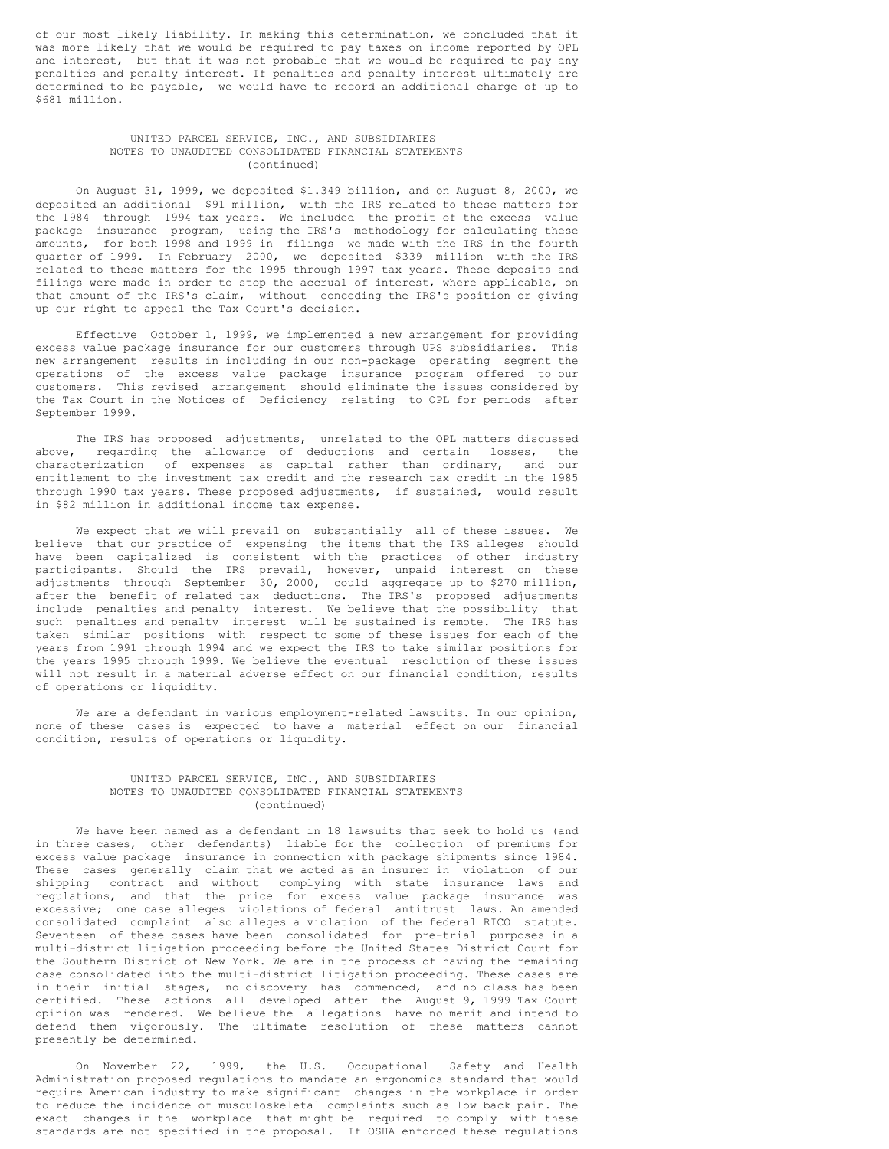of our most likely liability. In making this determination, we concluded that it was more likely that we would be required to pay taxes on income reported by OPL and interest, but that it was not probable that we would be required to pay any penalties and penalty interest. If penalties and penalty interest ultimately are determined to be payable, we would have to record an additional charge of up to \$681 million.

## UNITED PARCEL SERVICE, INC., AND SUBSIDIARIES NOTES TO UNAUDITED CONSOLIDATED FINANCIAL STATEMENTS (continued)

On August 31, 1999, we deposited \$1.349 billion, and on August 8, 2000, we deposited an additional \$91 million, with the IRS related to these matters for the 1984 through 1994 tax years. We included the profit of the excess value package insurance program, using the IRS's methodology for calculating these amounts, for both 1998 and 1999 in filings we made with the IRS in the fourth quarter of 1999. In February 2000, we deposited \$339 million with the IRS related to these matters for the 1995 through 1997 tax years. These deposits and filings were made in order to stop the accrual of interest, where applicable, on that amount of the IRS's claim, without conceding the IRS's position or giving up our right to appeal the Tax Court's decision.

Effective October 1, 1999, we implemented a new arrangement for providing excess value package insurance for our customers through UPS subsidiaries. This new arrangement results in including in our non-package operating segment the operations of the excess value package insurance program offered to our customers. This revised arrangement should eliminate the issues considered by the Tax Court in the Notices of Deficiency relating to OPL for periods after September 1999.

The IRS has proposed adjustments, unrelated to the OPL matters discussed above, regarding the allowance of deductions and certain losses, the characterization of expenses as capital rather than ordinary, and our entitlement to the investment tax credit and the research tax credit in the 1985 through 1990 tax years. These proposed adjustments, if sustained, would result in \$82 million in additional income tax expense.

We expect that we will prevail on substantially all of these issues. We believe that our practice of expensing the items that the IRS alleges should have been capitalized is consistent with the practices of other industry participants. Should the IRS prevail, however, unpaid interest on these adjustments through September 30, 2000, could aggregate up to \$270 million, after the benefit of related tax deductions. The IRS's proposed adjustments include penalties and penalty interest. We believe that the possibility that such penalties and penalty interest will be sustained is remote. The IRS has taken similar positions with respect to some of these issues for each of the years from 1991 through 1994 and we expect the IRS to take similar positions for the years 1995 through 1999. We believe the eventual resolution of these issues will not result in a material adverse effect on our financial condition, results of operations or liquidity.

We are a defendant in various employment-related lawsuits. In our opinion, none of these cases is expected to have a material effect on our financial condition, results of operations or liquidity.

# UNITED PARCEL SERVICE, INC., AND SUBSIDIARIES NOTES TO UNAUDITED CONSOLIDATED FINANCIAL STATEMENTS (continued)

We have been named as a defendant in 18 lawsuits that seek to hold us (and in three cases, other defendants) liable for the collection of premiums for excess value package insurance in connection with package shipments since 1984. These cases generally claim that we acted as an insurer in violation of our shipping contract and without complying with state insurance laws and regulations, and that the price for excess value package insurance was excessive; one case alleges violations of federal antitrust laws. An amended consolidated complaint also alleges a violation of the federal RICO statute. Seventeen of these cases have been consolidated for pre-trial purposes in a multi-district litigation proceeding before the United States District Court for the Southern District of New York. We are in the process of having the remaining case consolidated into the multi-district litigation proceeding. These cases are in their initial stages, no discovery has commenced, and no class has been certified. These actions all developed after the August 9, 1999 Tax Court opinion was rendered. We believe the allegations have no merit and intend to defend them vigorously. The ultimate resolution of these matters cannot presently be determined.

On November 22, 1999, the U.S. Occupational Safety and Health Administration proposed regulations to mandate an ergonomics standard that would require American industry to make significant changes in the workplace in order to reduce the incidence of musculoskeletal complaints such as low back pain. The exact changes in the workplace that might be required to comply with these standards are not specified in the proposal. If OSHA enforced these regulations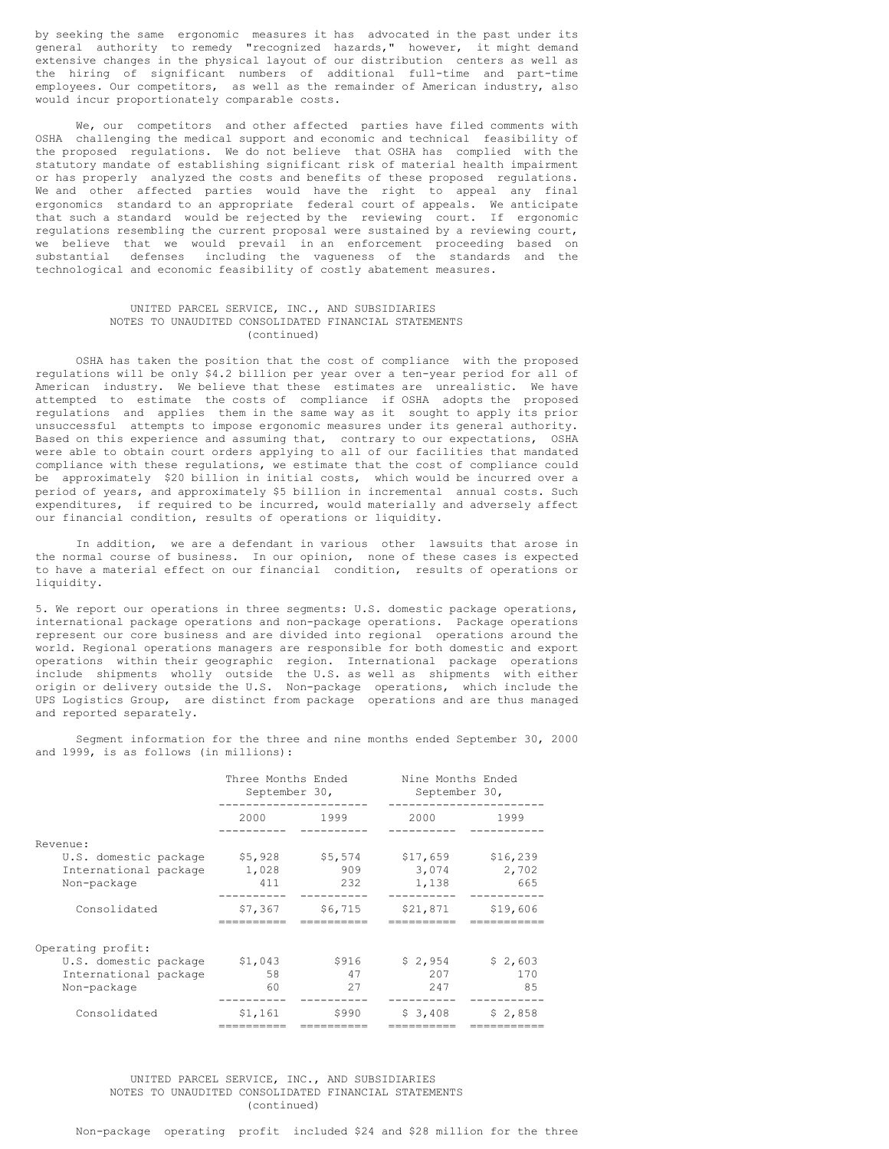by seeking the same ergonomic measures it has advocated in the past under its general authority to remedy "recognized hazards," however, it might demand extensive changes in the physical layout of our distribution centers as well as the hiring of significant numbers of additional full-time and part-time employees. Our competitors, as well as the remainder of American industry, also would incur proportionately comparable costs.

We, our competitors and other affected parties have filed comments with OSHA challenging the medical support and economic and technical feasibility of the proposed regulations. We do not believe that OSHA has complied with the statutory mandate of establishing significant risk of material health impairment or has properly analyzed the costs and benefits of these proposed regulations. We and other affected parties would have the right to appeal any final ergonomics standard to an appropriate federal court of appeals. We anticipate that such a standard would be rejected by the reviewing court. If ergonomic regulations resembling the current proposal were sustained by a reviewing court, we believe that we would prevail in an enforcement proceeding based on substantial defenses including the vagueness of the standards and the technological and economic feasibility of costly abatement measures.

### UNITED PARCEL SERVICE, INC., AND SUBSIDIARIES NOTES TO UNAUDITED CONSOLIDATED FINANCIAL STATEMENTS (continued)

OSHA has taken the position that the cost of compliance with the proposed regulations will be only \$4.2 billion per year over a ten-year period for all of American industry. We believe that these estimates are unrealistic. We have attempted to estimate the costs of compliance if OSHA adopts the proposed regulations and applies them in the same way as it sought to apply its prior unsuccessful attempts to impose ergonomic measures under its general authority. Based on this experience and assuming that, contrary to our expectations, OSHA were able to obtain court orders applying to all of our facilities that mandated compliance with these regulations, we estimate that the cost of compliance could be approximately \$20 billion in initial costs, which would be incurred over a period of years, and approximately \$5 billion in incremental annual costs. Such expenditures, if required to be incurred, would materially and adversely affect our financial condition, results of operations or liquidity.

In addition, we are a defendant in various other lawsuits that arose in the normal course of business. In our opinion, none of these cases is expected to have a material effect on our financial condition, results of operations or liquidity.

5. We report our operations in three segments: U.S. domestic package operations, international package operations and non-package operations. Package operations represent our core business and are divided into regional operations around the world. Regional operations managers are responsible for both domestic and export operations within their geographic region. International package operations include shipments wholly outside the U.S. as well as shipments with either origin or delivery outside the U.S. Non-package operations, which include the UPS Logistics Group, are distinct from package operations and are thus managed and reported separately.

Segment information for the three and nine months ended September 30, 2000 and 1999, is as follows (in millions):

|                                                               | Three Months Ended<br>September 30, |                       | Nine Months Ended<br>September 30, |                          |
|---------------------------------------------------------------|-------------------------------------|-----------------------|------------------------------------|--------------------------|
|                                                               | 2000                                | 1999                  | 2000                               | 1999                     |
| Revenue:                                                      |                                     |                       |                                    |                          |
| U.S. domestic package<br>International package<br>Non-package | \$5,928<br>1,028<br>411             | \$5,574<br>909<br>232 | \$17,659<br>3,074<br>1,138         | \$16,239<br>2,702<br>665 |
| Consolidated                                                  | \$7,367                             | \$6,715               | \$21,871                           | \$19,606                 |
| Operating profit:                                             |                                     |                       |                                    |                          |
| U.S. domestic package<br>International package<br>Non-package | \$1,043<br>58<br>60                 | \$916<br>47<br>27     | \$2,954<br>207<br>247              | \$2,603<br>170<br>85     |
| Consolidated                                                  | \$1,161                             | \$990                 | \$3,408                            | \$2,858                  |

## UNITED PARCEL SERVICE, INC., AND SUBSIDIARIES NOTES TO UNAUDITED CONSOLIDATED FINANCIAL STATEMENTS (continued)

Non-package operating profit included \$24 and \$28 million for the three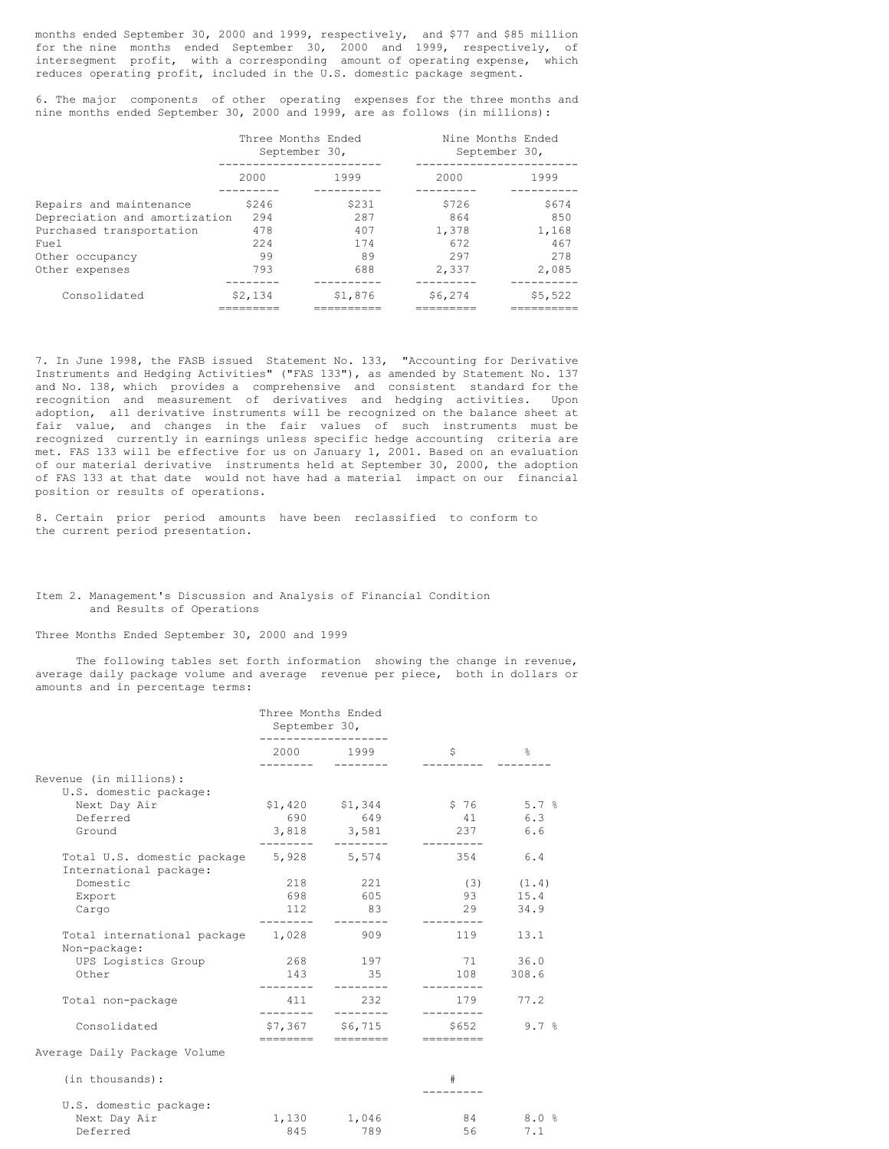months ended September 30, 2000 and 1999, respectively, and \$77 and \$85 million for the nine months ended September 30, 2000 and 1999, respectively, of intersegment profit, with a corresponding amount of operating expense, which reduces operating profit, included in the U.S. domestic package segment.

6. The major components of other operating expenses for the three months and nine months ended September 30, 2000 and 1999, are as follows (in millions):

|                               | Three Months Ended<br>September 30, |         | Nine Months Ended<br>September 30, |         |  |
|-------------------------------|-------------------------------------|---------|------------------------------------|---------|--|
|                               | 2000                                | 1999    | 2000                               | 1999    |  |
| Repairs and maintenance       | \$246                               | \$231   | S726                               | \$674   |  |
| Depreciation and amortization | 294                                 | 287     | 864                                | 850     |  |
| Purchased transportation      | 478                                 | 407     | 1,378                              | 1,168   |  |
| Fuel.                         | 224                                 | 174     | 672                                | 467     |  |
| Other occupancy               | 99                                  | 89      | 297                                | 278     |  |
| Other expenses                | 793                                 | 688     | 2,337                              | 2,085   |  |
|                               |                                     |         |                                    |         |  |
| Consolidated                  | \$2,134                             | \$1,876 | \$6,274                            | \$5,522 |  |
|                               |                                     |         |                                    |         |  |

7. In June 1998, the FASB issued Statement No. 133, "Accounting for Derivative Instruments and Hedging Activities" ("FAS 133"), as amended by Statement No. 137 and No. 138, which provides a comprehensive and consistent standard for the recognition and measurement of derivatives and hedging activities. Upon adoption, all derivative instruments will be recognized on the balance sheet at fair value, and changes in the fair values of such instruments must be recognized currently in earnings unless specific hedge accounting criteria are met. FAS 133 will be effective for us on January 1, 2001. Based on an evaluation of our material derivative instruments held at September 30, 2000, the adoption of FAS 133 at that date would not have had a material impact on our financial position or results of operations.

8. Certain prior period amounts have been reclassified to conform to the current period presentation.

### Item 2. Management's Discussion and Analysis of Financial Condition and Results of Operations

Three Months Ended September 30, 2000 and 1999

The following tables set forth information showing the change in revenue, average daily package volume and average revenue per piece, both in dollars or amounts and in percentage terms:

|                                                                   | Three Months Ended<br>September 30, |                              |                 |                |
|-------------------------------------------------------------------|-------------------------------------|------------------------------|-----------------|----------------|
|                                                                   |                                     | 2000 1999                    | Ŝ.              | $\mathbb{S}^2$ |
| Revenue (in millions):<br>U.S. domestic package:                  |                                     |                              |                 |                |
| Next Day Air                                                      |                                     | $$1,420$ $$1,344$            | $$76$ $$.7$ $$$ |                |
| Deferred                                                          |                                     | 690 649                      | 41 6.3          |                |
| Ground                                                            |                                     | 3,818 3,581                  | 237             | 6.6            |
| Total U.S. domestic package 5,928 5,574<br>International package: |                                     |                              | 354             | 6.4            |
| Domestic                                                          | 218                                 | 221                          |                 | $(3)$ $(1.4)$  |
| Export                                                            | 698                                 | 605                          | 93              | 15.4           |
| Cargo                                                             | 112                                 | 83                           | 29              | 34.9           |
| Total international package 1,028<br>Non-package:                 |                                     | 909                          | 119             | 13.1           |
| UPS Logistics Group                                               |                                     | 268 197                      | 71 36.0         |                |
| Other                                                             | 143                                 | 35                           | 108             | 308.6          |
| Total non-package                                                 | 411<br>------                       | 232                          | 179             | 77.2           |
| Consolidated                                                      | ========                            | \$7,367 \$6,715<br>--------- | \$652           | 9.7%           |
| Average Daily Package Volume                                      |                                     |                              |                 |                |
| (in thousands):                                                   |                                     |                              | #               |                |
|                                                                   |                                     |                              |                 |                |

| U.S. domestic package: |       |       |    |      |
|------------------------|-------|-------|----|------|
| Next Day Air           | 1,130 | 1,046 | 84 | 8.0% |
| Deferred               | 845   | 789   |    |      |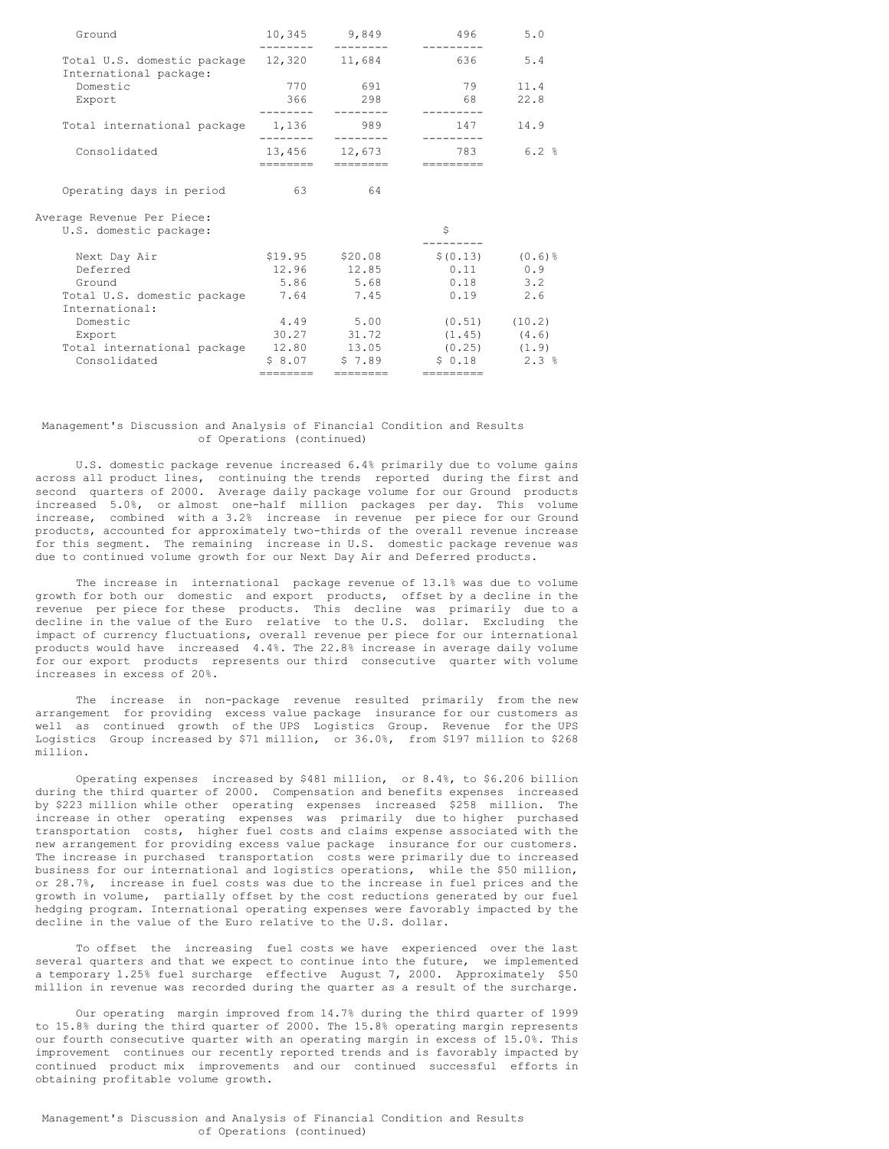| Ground                                                              |              | 10,345 9,849<br>------- -------- | 496                                       | 5.0  |
|---------------------------------------------------------------------|--------------|----------------------------------|-------------------------------------------|------|
| Total U.S. domestic package 12,320 11,684<br>International package: |              |                                  | 636 6                                     | 5.4  |
| Domestic                                                            |              | 770 691                          | 79                                        | 11.4 |
| Export                                                              | . <u>.</u> . | 366 298                          | 68                                        | 22.8 |
| Total international package 1,136                                   |              | 989                              | 147                                       | 14.9 |
| Consolidated                                                        | ---------    | 13,456 12,673                    | 783                                       | 6.2% |
| Operating days in period                                            | 63           | 64                               |                                           |      |
| Average Revenue Per Piece:<br>U.S. domestic package:                |              |                                  | \$                                        |      |
| Next Day Air                                                        |              | \$19.95 \$20.08                  | $$(0.13)$ $(0.6)$ $$$                     |      |
| Deferred                                                            |              |                                  | $12.96$ $12.85$ 0.11 0.9                  |      |
| Ground                                                              |              | 5.86 5.68                        | $0.18$ 3.2                                |      |
| Total U.S. domestic package 7.64 7.45                               |              |                                  | $0.19$ 2.6                                |      |
| International:                                                      |              |                                  |                                           |      |
| Domestic                                                            |              | 4.49 5.00                        | $(0.51)$ $(10.2)$                         |      |
| Export                                                              |              |                                  | $30.27$ $31.72$ $(1.45)$ $(4.6)$          |      |
| Total international package 12.80 13.05 (0.25) (1.9)                |              |                                  |                                           |      |
| Consolidated                                                        |              |                                  | $$8.07$ $$7.89$ $$0.18$ $2.3\textdegree$$ |      |
|                                                                     | ========     | --------                         | =========                                 |      |

## Management's Discussion and Analysis of Financial Condition and Results of Operations (continued)

U.S. domestic package revenue increased 6.4% primarily due to volume gains across all product lines, continuing the trends reported during the first and second quarters of 2000. Average daily package volume for our Ground products increased 5.0%, or almost one-half million packages per day. This volume increase, combined with a 3.2% increase in revenue per piece for our Ground products, accounted for approximately two-thirds of the overall revenue increase for this segment. The remaining increase in U.S. domestic package revenue was due to continued volume growth for our Next Day Air and Deferred products.

The increase in international package revenue of 13.1% was due to volume growth for both our domestic and export products, offset by a decline in the revenue per piece for these products. This decline was primarily due to a decline in the value of the Euro relative to the U.S. dollar. Excluding the impact of currency fluctuations, overall revenue per piece for our international products would have increased 4.4%. The 22.8% increase in average daily volume for our export products represents our third consecutive quarter with volume increases in excess of 20%.

The increase in non-package revenue resulted primarily from the new arrangement for providing excess value package insurance for our customers as well as continued growth of the UPS Logistics Group. Revenue for the UPS Logistics Group increased by \$71 million, or 36.0%, from \$197 million to \$268 million.

Operating expenses increased by \$481 million, or 8.4%, to \$6.206 billion during the third quarter of 2000. Compensation and benefits expenses increased by \$223 million while other operating expenses increased \$258 million. The increase in other operating expenses was primarily due to higher purchased transportation costs, higher fuel costs and claims expense associated with the new arrangement for providing excess value package insurance for our customers. The increase in purchased transportation costs were primarily due to increased business for our international and logistics operations, while the \$50 million, or 28.7%, increase in fuel costs was due to the increase in fuel prices and the growth in volume, partially offset by the cost reductions generated by our fuel hedging program. International operating expenses were favorably impacted by the decline in the value of the Euro relative to the U.S. dollar.

To offset the increasing fuel costs we have experienced over the last several quarters and that we expect to continue into the future, we implemented a temporary 1.25% fuel surcharge effective August 7, 2000. Approximately \$50 million in revenue was recorded during the quarter as a result of the surcharge.

Our operating margin improved from 14.7% during the third quarter of 1999 to 15.8% during the third quarter of 2000. The 15.8% operating margin represents our fourth consecutive quarter with an operating margin in excess of 15.0%. This improvement continues our recently reported trends and is favorably impacted by continued product mix improvements and our continued successful efforts in obtaining profitable volume growth.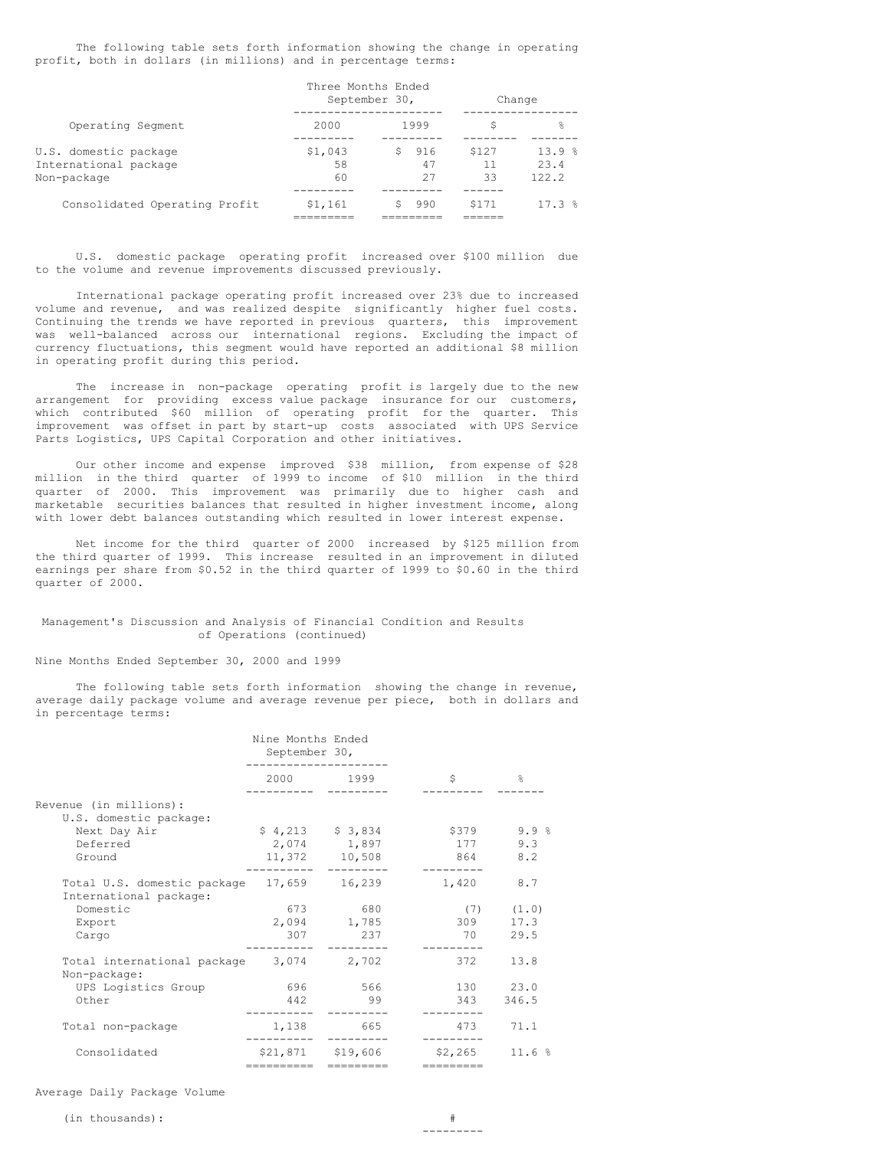The following table sets forth information showing the change in operating profit, both in dollars (in millions) and in percentage terms:

 $T$  The Months Ended Months Ended Months Ended Months Ended Months Ended Months Ended Months Ended Months Ended Mon

|                                                               |                     | Tnree Montns Ended<br>September 30, | Change            |                        |
|---------------------------------------------------------------|---------------------|-------------------------------------|-------------------|------------------------|
| Operating Segment                                             | 2000                | 1999                                | S                 | 욲                      |
| U.S. domestic package<br>International package<br>Non-package | \$1,043<br>58<br>60 | 916<br>S.<br>47<br>27               | \$127<br>11<br>33 | 13.9%<br>23.4<br>122.2 |
| Consolidated Operating Profit                                 | \$1,161             | 990                                 | \$171             | 17.3%                  |

U.S. domestic package operating profit increased over \$100 million due to the volume and revenue improvements discussed previously.

International package operating profit increased over 23% due to increased volume and revenue, and was realized despite significantly higher fuel costs. Continuing the trends we have reported in previous quarters, this improvement was well-balanced across our international regions. Excluding the impact of currency fluctuations, this segment would have reported an additional \$8 million in operating profit during this period.

The increase in non-package operating profit is largely due to the new arrangement for providing excess value package insurance for our customers, which contributed \$60 million of operating profit for the quarter. This improvement was offset in part by start-up costs associated with UPS Service Parts Logistics, UPS Capital Corporation and other initiatives.

Our other income and expense improved \$38 million, from expense of \$28 million in the third quarter of 1999 to income of \$10 million in the third quarter of 2000. This improvement was primarily due to higher cash and marketable securities balances that resulted in higher investment income, along with lower debt balances outstanding which resulted in lower interest expense.

Net income for the third quarter of 2000 increased by \$125 million from the third quarter of 1999. This increase resulted in an improvement in diluted earnings per share from \$0.52 in the third quarter of 1999 to \$0.60 in the third quarter of 2000.

### Management's Discussion and Analysis of Financial Condition and Results of Operations (continued)

#### Nine Months Ended September 30, 2000 and 1999

The following table sets forth information showing the change in revenue, average daily package volume and average revenue per piece, both in dollars and in percentage terms:

|                                                                     | Nine Months Ended<br>September 30, |                                                   |                         |                               |
|---------------------------------------------------------------------|------------------------------------|---------------------------------------------------|-------------------------|-------------------------------|
|                                                                     |                                    | 2000 1999                                         | \$                      | $\frac{6}{10}$                |
| Revenue (in millions):<br>U.S. domestic package:                    |                                    |                                                   |                         |                               |
| Next Day Air<br>Deferred<br>Ground                                  |                                    | $$4,213$ $$3,834$<br>2,074 1,897<br>11,372 10,508 | \$379<br>177<br>864 8.2 | 9.9%<br>9.3                   |
| Total U.S. domestic package 17,659 16,239<br>International package: |                                    |                                                   | 1,420                   | 8.7                           |
| Domestic<br>Export<br>Cargo                                         | 307                                | 673 680<br>2,094 1,785<br>237                     | 309<br>70               | $(7)$ $(1.0)$<br>17.3<br>29.5 |
| Total international package 3,074 2,702<br>Non-package:             |                                    |                                                   | 372                     | 13.8                          |
| UPS Logistics Group<br>Other                                        | 442                                | 696 566                                           | 130<br>343              | 23.0<br>346.5                 |
| Total non-package                                                   |                                    | 1,138 665                                         | 473                     | 71.1                          |
| Consolidated                                                        | -----------                        | \$21,871 \$19,606<br>=========                    | \$2,265<br>=========    | 11.6%                         |

Average Daily Package Volume

---------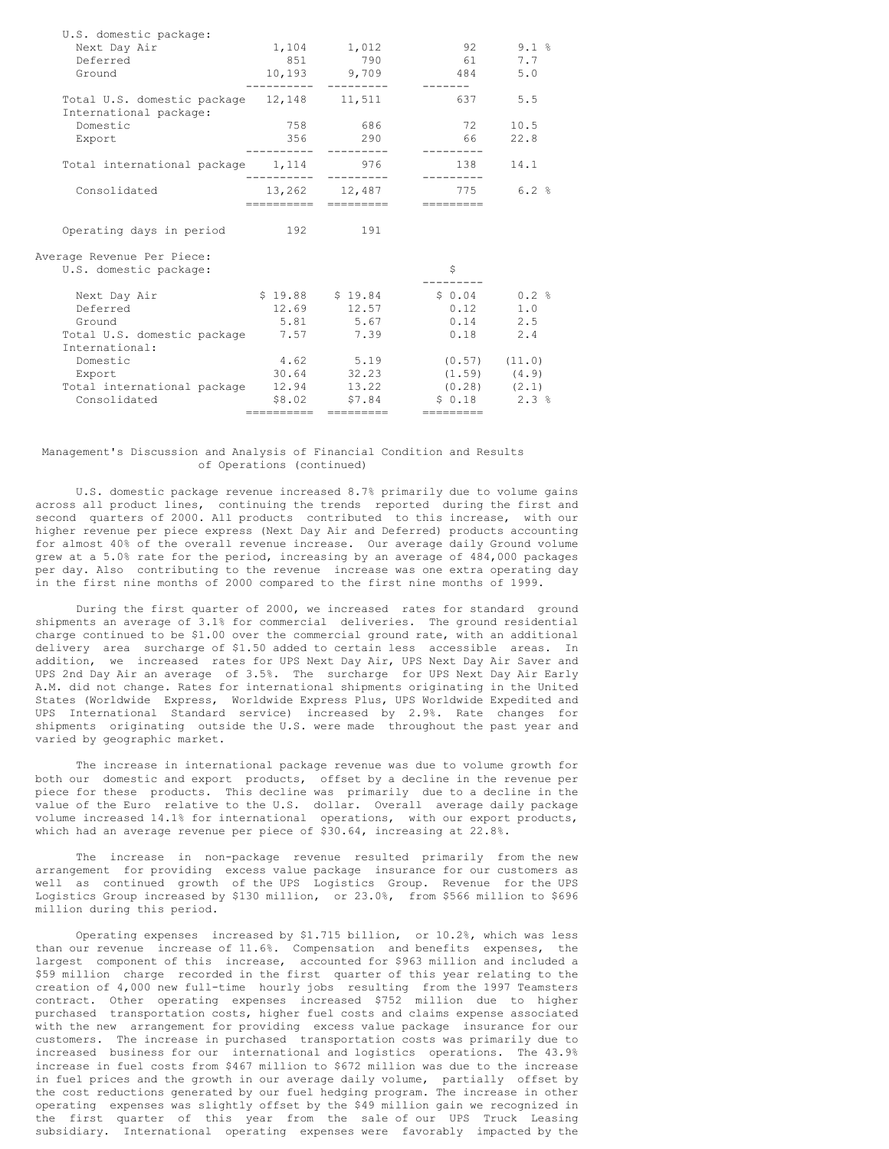| U.S. domestic package:                                              |               |                   |                                      |      |
|---------------------------------------------------------------------|---------------|-------------------|--------------------------------------|------|
| Next Day Air                                                        |               | 1,104 1,012       | 92 —                                 | 9.1% |
| Deferred                                                            | 8.51          | 790               | 61                                   | 7.7  |
| Ground                                                              |               | 10,193 9,709      | 484                                  | 5.0  |
| Total U.S. domestic package 12,148 11,511<br>International package: |               |                   | 637                                  | 5.5  |
| Domestic                                                            | 758           | 686               | 72                                   | 10.5 |
| Export                                                              | 356<br>------ | 290<br>---------- | 66                                   | 22.8 |
| Total international package 1,114 976                               |               | ----------        | 138                                  | 14.1 |
| Consolidated                                                        | ==========    | =========         | 13,262 12,487 775 6.2 %<br>--------- |      |
|                                                                     |               |                   |                                      |      |
| Operating days in period                                            | 192 191       |                   |                                      |      |
| Average Revenue Per Piece:                                          |               |                   |                                      |      |
| U.S. domestic package:                                              |               |                   | \$                                   |      |
| Next Day Air                                                        |               |                   | $$19.88$ $$19.84$ $$0.04$ $0.2$ $$$  |      |
| Deferred                                                            |               | 12.69 12.57       | 0.12                                 | 1.0  |
| Ground                                                              |               | 5.81 5.67         | $0.14$ 2.5                           |      |
| Total U.S. domestic package 7.57 7.39                               |               |                   | 0.18                                 | 2.4  |
| International:                                                      |               |                   |                                      |      |
| Domestic                                                            |               | 4.62 5.19         | $(0.57)$ $(11.0)$                    |      |
| Export                                                              |               | 30.64 32.23       | $(1.59)$ $(4.9)$                     |      |
| Total international package                                         |               | 12.94 13.22       | $(0.28)$ $(2.1)$                     |      |
| Consolidated                                                        |               | \$8.02 \$7.84     | $$0.18$ $2.3$ $$$                    |      |
|                                                                     | ----------    |                   | ---------                            |      |

## Management's Discussion and Analysis of Financial Condition and Results of Operations (continued)

U.S. domestic package revenue increased 8.7% primarily due to volume gains across all product lines, continuing the trends reported during the first and second quarters of 2000. All products contributed to this increase, with our higher revenue per piece express (Next Day Air and Deferred) products accounting for almost 40% of the overall revenue increase. Our average daily Ground volume grew at a 5.0% rate for the period, increasing by an average of 484,000 packages per day. Also contributing to the revenue increase was one extra operating day in the first nine months of 2000 compared to the first nine months of 1999.

During the first quarter of 2000, we increased rates for standard ground shipments an average of 3.1% for commercial deliveries. The ground residential charge continued to be \$1.00 over the commercial ground rate, with an additional delivery area surcharge of \$1.50 added to certain less accessible areas. In addition, we increased rates for UPS Next Day Air, UPS Next Day Air Saver and UPS 2nd Day Air an average of 3.5%. The surcharge for UPS Next Day Air Early A.M. did not change. Rates for international shipments originating in the United States (Worldwide Express, Worldwide Express Plus, UPS Worldwide Expedited and UPS International Standard service) increased by 2.9%. Rate changes for shipments originating outside the U.S. were made throughout the past year and varied by geographic market.

The increase in international package revenue was due to volume growth for both our domestic and export products, offset by a decline in the revenue per piece for these products. This decline was primarily due to a decline in the value of the Euro relative to the U.S. dollar. Overall average daily package volume increased 14.1% for international operations, with our export products, which had an average revenue per piece of \$30.64, increasing at 22.8%.

The increase in non-package revenue resulted primarily from the new arrangement for providing excess value package insurance for our customers as well as continued growth of the UPS Logistics Group. Revenue for the UPS Logistics Group increased by \$130 million, or 23.0%, from \$566 million to \$696 million during this period.

Operating expenses increased by \$1.715 billion, or 10.2%, which was less than our revenue increase of 11.6%. Compensation and benefits expenses, the largest component of this increase, accounted for \$963 million and included a \$59 million charge recorded in the first quarter of this year relating to the creation of 4,000 new full-time hourly jobs resulting from the 1997 Teamsters contract. Other operating expenses increased \$752 million due to higher purchased transportation costs, higher fuel costs and claims expense associated with the new arrangement for providing excess value package insurance for our customers. The increase in purchased transportation costs was primarily due to increased business for our international and logistics operations. The 43.9% increase in fuel costs from \$467 million to \$672 million was due to the increase in fuel prices and the growth in our average daily volume, partially offset by the cost reductions generated by our fuel hedging program. The increase in other operating expenses was slightly offset by the \$49 million gain we recognized in the first quarter of this year from the sale of our UPS Truck Leasing subsidiary. International operating expenses were favorably impacted by the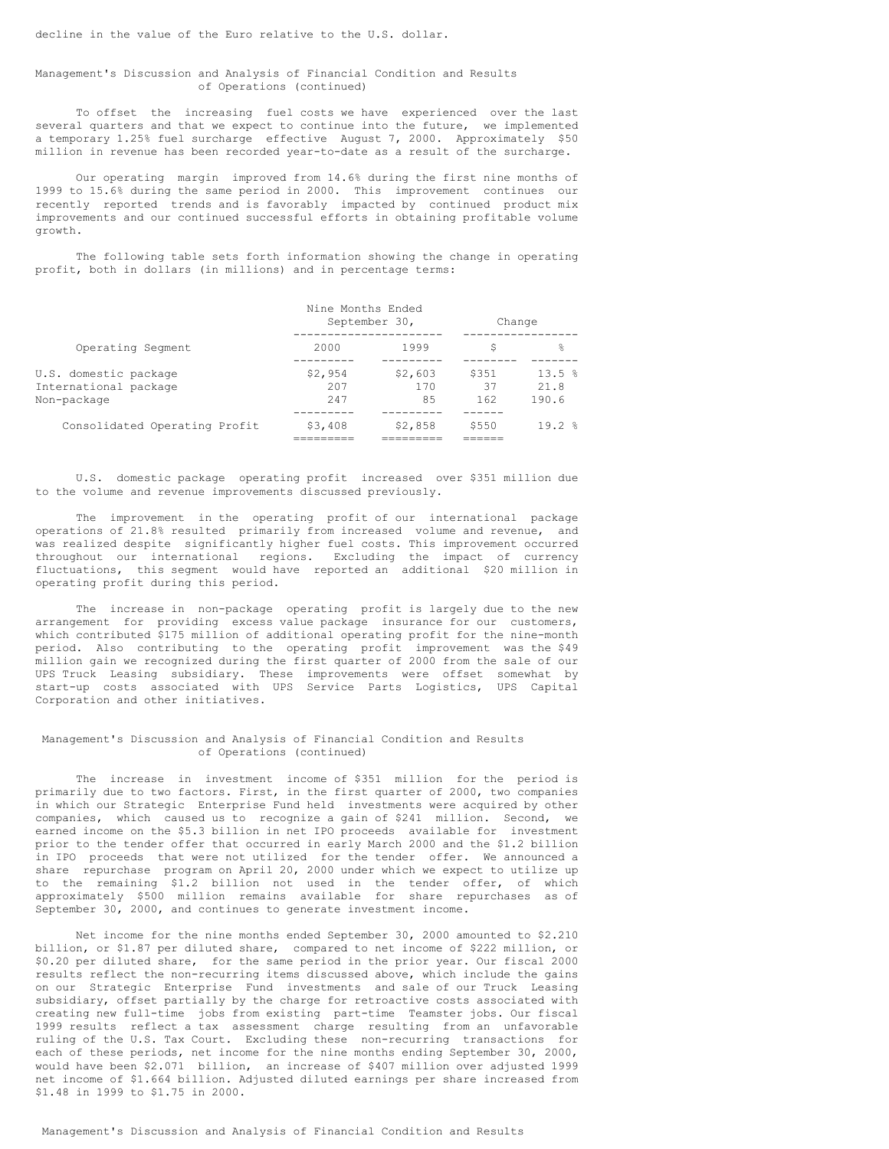## Management's Discussion and Analysis of Financial Condition and Results of Operations (continued)

To offset the increasing fuel costs we have experienced over the last several quarters and that we expect to continue into the future, we implemented a temporary 1.25% fuel surcharge effective August 7, 2000. Approximately \$50 million in revenue has been recorded year-to-date as a result of the surcharge.

Our operating margin improved from 14.6% during the first nine months of 1999 to 15.6% during the same period in 2000. This improvement continues our recently reported trends and is favorably impacted by continued product mix improvements and our continued successful efforts in obtaining profitable volume growth.

The following table sets forth information showing the change in operating profit, both in dollars (in millions) and in percentage terms:

|                                                               | Nine Months Ended     | September 30,        | Change             |                        |
|---------------------------------------------------------------|-----------------------|----------------------|--------------------|------------------------|
| Operating Segment                                             | 2000                  | 1999                 | S                  | 욲                      |
| U.S. domestic package<br>International package<br>Non-package | \$2,954<br>207<br>247 | \$2,603<br>170<br>85 | \$351<br>37<br>162 | 13.5%<br>21.8<br>190.6 |
| Consolidated Operating Profit                                 | \$3,408               | \$2,858              | \$550              | $19.2$ $%$             |

U.S. domestic package operating profit increased over \$351 million due to the volume and revenue improvements discussed previously.

The improvement in the operating profit of our international package operations of 21.8% resulted primarily from increased volume and revenue, and was realized despite significantly higher fuel costs. This improvement occurred throughout our international regions. Excluding the impact of currency fluctuations, this segment would have reported an additional \$20 million in operating profit during this period.

The increase in non-package operating profit is largely due to the new arrangement for providing excess value package insurance for our customers, which contributed \$175 million of additional operating profit for the nine-month period. Also contributing to the operating profit improvement was the \$49 million gain we recognized during the first quarter of 2000 from the sale of our UPS Truck Leasing subsidiary. These improvements were offset somewhat by start-up costs associated with UPS Service Parts Logistics, UPS Capital Corporation and other initiatives.

### Management's Discussion and Analysis of Financial Condition and Results of Operations (continued)

The increase in investment income of \$351 million for the period is primarily due to two factors. First, in the first quarter of 2000, two companies in which our Strategic Enterprise Fund held investments were acquired by other companies, which caused us to recognize a gain of \$241 million. Second, we earned income on the \$5.3 billion in net IPO proceeds available for investment prior to the tender offer that occurred in early March 2000 and the \$1.2 billion in IPO proceeds that were not utilized for the tender offer. We announced a share repurchase program on April 20, 2000 under which we expect to utilize up to the remaining \$1.2 billion not used in the tender offer, of which approximately \$500 million remains available for share repurchases as of September 30, 2000, and continues to generate investment income.

Net income for the nine months ended September 30, 2000 amounted to \$2.210 billion, or \$1.87 per diluted share, compared to net income of \$222 million, or \$0.20 per diluted share, for the same period in the prior year. Our fiscal 2000 results reflect the non-recurring items discussed above, which include the gains on our Strategic Enterprise Fund investments and sale of our Truck Leasing subsidiary, offset partially by the charge for retroactive costs associated with creating new full-time jobs from existing part-time Teamster jobs. Our fiscal 1999 results reflect a tax assessment charge resulting from an unfavorable ruling of the U.S. Tax Court. Excluding these non-recurring transactions for each of these periods, net income for the nine months ending September 30, 2000, would have been \$2.071 billion, an increase of \$407 million over adjusted 1999 net income of \$1.664 billion. Adjusted diluted earnings per share increased from \$1.48 in 1999 to \$1.75 in 2000.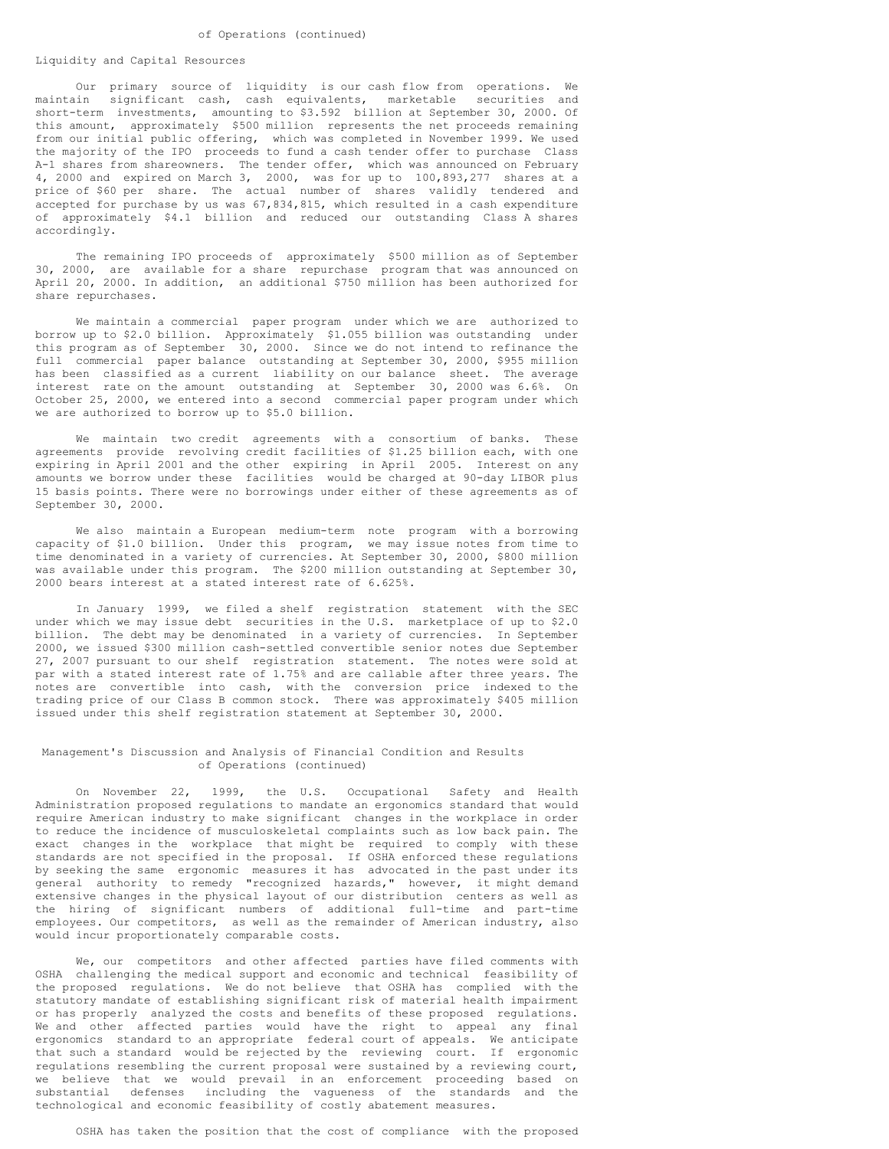#### Liquidity and Capital Resources

Our primary source of liquidity is our cash flow from operations. We maintain significant cash, cash equivalents, marketable securities and short-term investments, amounting to \$3.592 billion at September 30, 2000. Of this amount, approximately \$500 million represents the net proceeds remaining from our initial public offering, which was completed in November 1999. We used the majority of the IPO proceeds to fund a cash tender offer to purchase Class A-1 shares from shareowners. The tender offer, which was announced on February 4, 2000 and expired on March 3, 2000, was for up to 100,893,277 shares at a price of \$60 per share. The actual number of shares validly tendered and accepted for purchase by us was 67,834,815, which resulted in a cash expenditure of approximately \$4.1 billion and reduced our outstanding Class A shares accordingly.

The remaining IPO proceeds of approximately \$500 million as of September 30, 2000, are available for a share repurchase program that was announced on April 20, 2000. In addition, an additional \$750 million has been authorized for share repurchases.

We maintain a commercial paper program under which we are authorized to borrow up to \$2.0 billion. Approximately \$1.055 billion was outstanding under this program as of September 30, 2000. Since we do not intend to refinance the full commercial paper balance outstanding at September 30, 2000, \$955 million has been classified as a current liability on our balance sheet. The average interest rate on the amount outstanding at September 30, 2000 was 6.6%. On October 25, 2000, we entered into a second commercial paper program under which we are authorized to borrow up to \$5.0 billion.

We maintain two credit agreements with a consortium of banks. These agreements provide revolving credit facilities of \$1.25 billion each, with one expiring in April 2001 and the other expiring in April 2005. Interest on any amounts we borrow under these facilities would be charged at 90-day LIBOR plus 15 basis points. There were no borrowings under either of these agreements as of September 30, 2000.

We also maintain a European medium-term note program with a borrowing capacity of \$1.0 billion. Under this program, we may issue notes from time to time denominated in a variety of currencies. At September 30, 2000, \$800 million was available under this program. The \$200 million outstanding at September 30, 2000 bears interest at a stated interest rate of 6.625%.

In January 1999, we filed a shelf registration statement with the SEC under which we may issue debt securities in the U.S. marketplace of up to \$2.0 billion. The debt may be denominated in a variety of currencies. In September 2000, we issued \$300 million cash-settled convertible senior notes due September 27, 2007 pursuant to our shelf registration statement. The notes were sold at par with a stated interest rate of 1.75% and are callable after three years. The notes are convertible into cash, with the conversion price indexed to the trading price of our Class B common stock. There was approximately \$405 million issued under this shelf registration statement at September 30, 2000.

# Management's Discussion and Analysis of Financial Condition and Results of Operations (continued)

On November 22, 1999, the U.S. Occupational Safety and Health Administration proposed regulations to mandate an ergonomics standard that would require American industry to make significant changes in the workplace in order to reduce the incidence of musculoskeletal complaints such as low back pain. The exact changes in the workplace that might be required to comply with these standards are not specified in the proposal. If OSHA enforced these regulations by seeking the same ergonomic measures it has advocated in the past under its general authority to remedy "recognized hazards," however, it might demand extensive changes in the physical layout of our distribution centers as well as the hiring of significant numbers of additional full-time and part-time employees. Our competitors, as well as the remainder of American industry, also would incur proportionately comparable costs.

We, our competitors and other affected parties have filed comments with OSHA challenging the medical support and economic and technical feasibility of the proposed regulations. We do not believe that OSHA has complied with the statutory mandate of establishing significant risk of material health impairment or has properly analyzed the costs and benefits of these proposed regulations. We and other affected parties would have the right to appeal any final ergonomics standard to an appropriate federal court of appeals. We anticipate that such a standard would be rejected by the reviewing court. If ergonomic regulations resembling the current proposal were sustained by a reviewing court, we believe that we would prevail in an enforcement proceeding based on substantial defenses including the vagueness of the standards and the technological and economic feasibility of costly abatement measures.

OSHA has taken the position that the cost of compliance with the proposed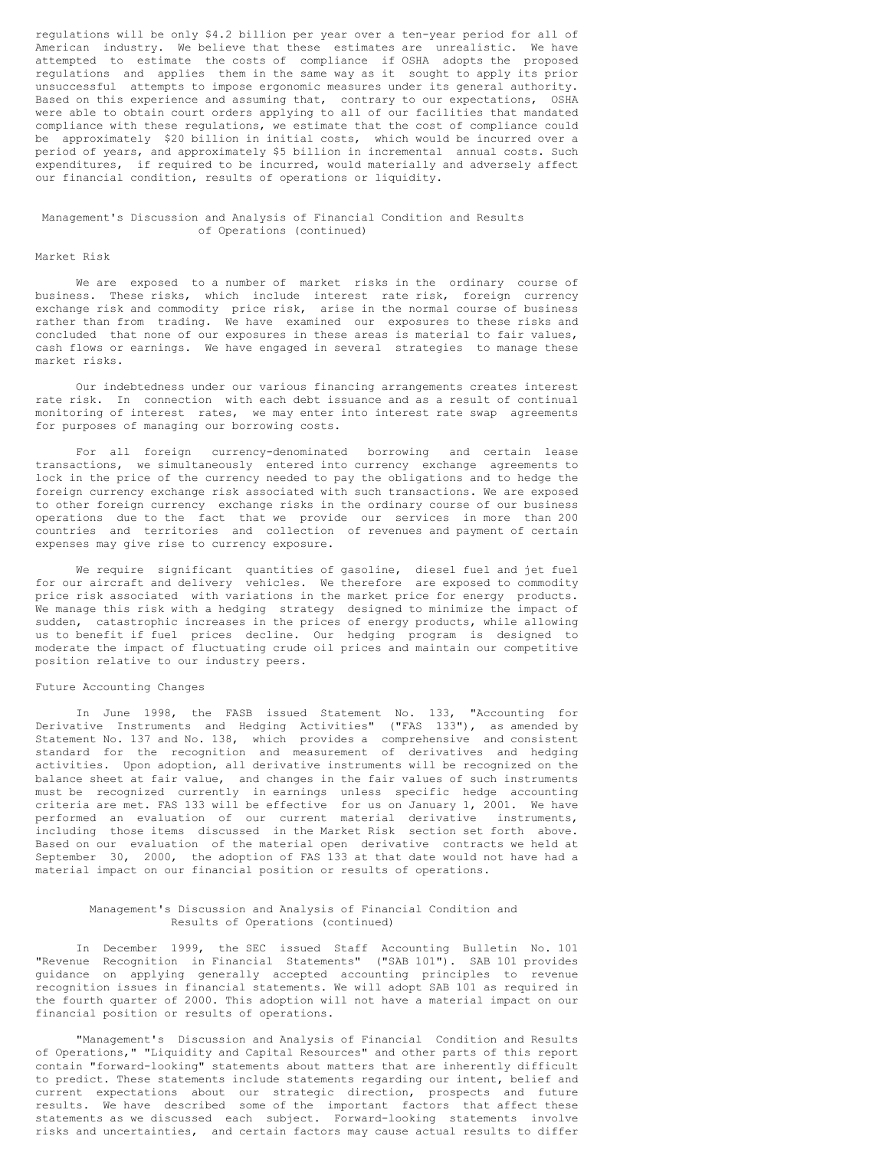regulations will be only \$4.2 billion per year over a ten-year period for all of American industry. We believe that these estimates are unrealistic. We have attempted to estimate the costs of compliance if OSHA adopts the proposed regulations and applies them in the same way as it sought to apply its prior unsuccessful attempts to impose ergonomic measures under its general authority. Based on this experience and assuming that, contrary to our expectations, OSHA were able to obtain court orders applying to all of our facilities that mandated compliance with these regulations, we estimate that the cost of compliance could be approximately \$20 billion in initial costs, which would be incurred over a period of years, and approximately \$5 billion in incremental annual costs. Such expenditures, if required to be incurred, would materially and adversely affect our financial condition, results of operations or liquidity.

#### Management's Discussion and Analysis of Financial Condition and Results of Operations (continued)

## Market Risk

We are exposed to a number of market risks in the ordinary course of business. These risks, which include interest rate risk, foreign currency exchange risk and commodity price risk, arise in the normal course of business rather than from trading. We have examined our exposures to these risks and concluded that none of our exposures in these areas is material to fair values, cash flows or earnings. We have engaged in several strategies to manage these market risks.

Our indebtedness under our various financing arrangements creates interest rate risk. In connection with each debt issuance and as a result of continual monitoring of interest rates, we may enter into interest rate swap agreements for purposes of managing our borrowing costs.

For all foreign currency-denominated borrowing and certain lease transactions, we simultaneously entered into currency exchange agreements to lock in the price of the currency needed to pay the obligations and to hedge the foreign currency exchange risk associated with such transactions. We are exposed to other foreign currency exchange risks in the ordinary course of our business operations due to the fact that we provide our services in more than 200 countries and territories and collection of revenues and payment of certain expenses may give rise to currency exposure.

We require significant quantities of gasoline, diesel fuel and jet fuel for our aircraft and delivery vehicles. We therefore are exposed to commodity price risk associated with variations in the market price for energy products. We manage this risk with a hedging strategy designed to minimize the impact of sudden, catastrophic increases in the prices of energy products, while allowing us to benefit if fuel prices decline. Our hedging program is designed to moderate the impact of fluctuating crude oil prices and maintain our competitive position relative to our industry peers.

## Future Accounting Changes

In June 1998, the FASB issued Statement No. 133, "Accounting for Derivative Instruments and Hedging Activities" ("FAS 133"), as amended by Statement No. 137 and No. 138, which provides a comprehensive and consistent standard for the recognition and measurement of derivatives and hedging activities. Upon adoption, all derivative instruments will be recognized on the balance sheet at fair value, and changes in the fair values of such instruments must be recognized currently in earnings unless specific hedge accounting criteria are met. FAS 133 will be effective for us on January 1, 2001. We have performed an evaluation of our current material derivative instruments, including those items discussed in the Market Risk section set forth above. Based on our evaluation of the material open derivative contracts we held at September 30, 2000, the adoption of FAS 133 at that date would not have had a material impact on our financial position or results of operations.

## Management's Discussion and Analysis of Financial Condition and Results of Operations (continued)

In December 1999, the SEC issued Staff Accounting Bulletin No. 101 "Revenue Recognition in Financial Statements" ("SAB 101"). SAB 101 provides guidance on applying generally accepted accounting principles to revenue recognition issues in financial statements. We will adopt SAB 101 as required in the fourth quarter of 2000. This adoption will not have a material impact on our financial position or results of operations.

"Management's Discussion and Analysis of Financial Condition and Results of Operations," "Liquidity and Capital Resources" and other parts of this report contain "forward-looking" statements about matters that are inherently difficult to predict. These statements include statements regarding our intent, belief and current expectations about our strategic direction, prospects and future results. We have described some of the important factors that affect these statements as we discussed each subject. Forward-looking statements involve risks and uncertainties, and certain factors may cause actual results to differ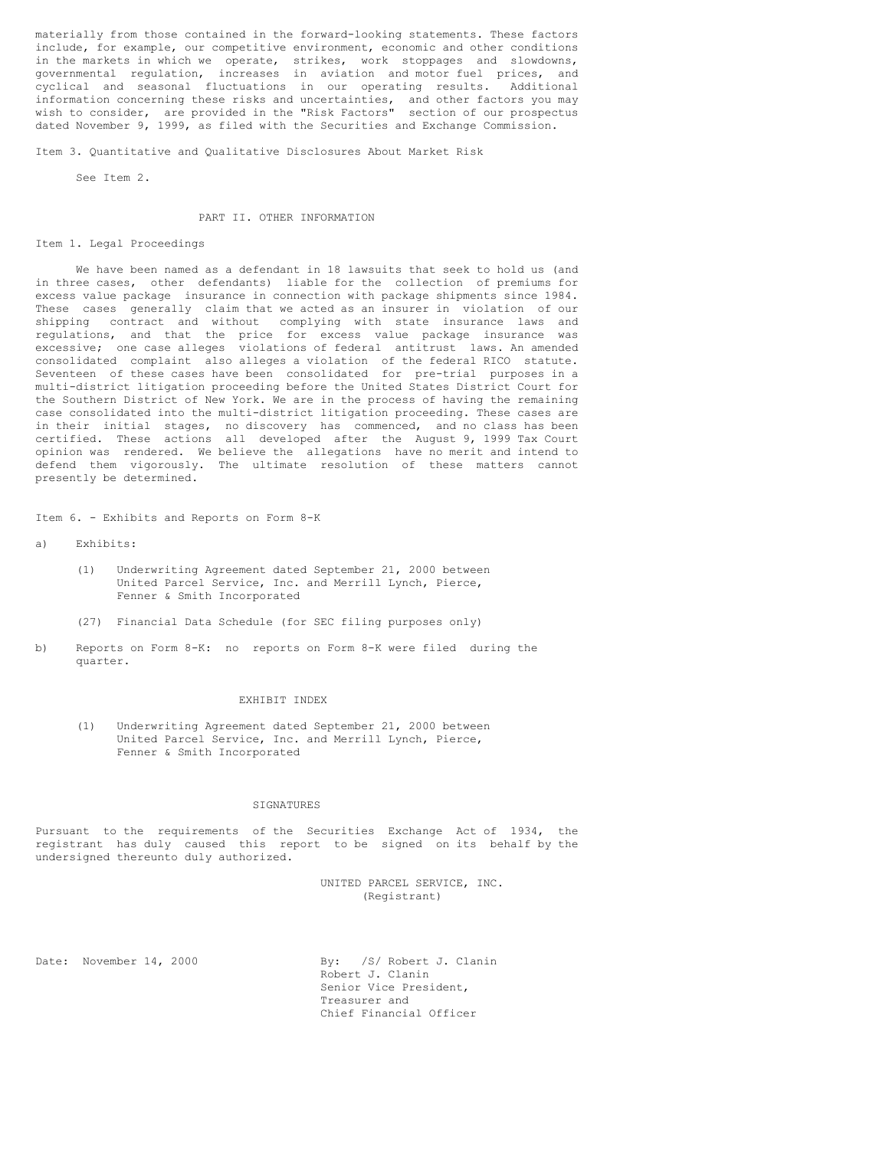materially from those contained in the forward-looking statements. These factors include, for example, our competitive environment, economic and other conditions in the markets in which we operate, strikes, work stoppages and slowdowns, governmental regulation, increases in aviation and motor fuel prices, and cyclical and seasonal fluctuations in our operating results. Additional information concerning these risks and uncertainties, and other factors you may wish to consider, are provided in the "Risk Factors" section of our prospectus dated November 9, 1999, as filed with the Securities and Exchange Commission.

Item 3. Quantitative and Qualitative Disclosures About Market Risk

See Item 2.

#### PART II. OTHER INFORMATION

#### Item 1. Legal Proceedings

We have been named as a defendant in 18 lawsuits that seek to hold us (and in three cases, other defendants) liable for the collection of premiums for excess value package insurance in connection with package shipments since 1984. These cases generally claim that we acted as an insurer in violation of our shipping contract and without complying with state insurance laws and regulations, and that the price for excess value package insurance was excessive; one case alleges violations of federal antitrust laws. An amended consolidated complaint also alleges a violation of the federal RICO statute. Seventeen of these cases have been consolidated for pre-trial purposes in a multi-district litigation proceeding before the United States District Court for the Southern District of New York. We are in the process of having the remaining case consolidated into the multi-district litigation proceeding. These cases are in their initial stages, no discovery has commenced, and no class has been certified. These actions all developed after the August 9, 1999 Tax Court opinion was rendered. We believe the allegations have no merit and intend to defend them vigorously. The ultimate resolution of these matters cannot presently be determined.

Item 6. - Exhibits and Reports on Form 8-K

- a) Exhibits:
	- (1) Underwriting Agreement dated September 21, 2000 between United Parcel Service, Inc. and Merrill Lynch, Pierce, Fenner & Smith Incorporated
	- (27) Financial Data Schedule (for SEC filing purposes only)
- b) Reports on Form 8-K: no reports on Form 8-K were filed during the quarter.

#### EXHIBIT INDEX

(1) Underwriting Agreement dated September 21, 2000 between United Parcel Service, Inc. and Merrill Lynch, Pierce, Fenner & Smith Incorporated

## SIGNATURES

Pursuant to the requirements of the Securities Exchange Act of 1934, the registrant has duly caused this report to be signed on its behalf by the undersigned thereunto duly authorized.

> UNITED PARCEL SERVICE, INC. (Registrant)

Date: November 14, 2000 By: /S/ Robert J. Clanin Robert J. Clanin Senior Vice President, Treasurer and Chief Financial Officer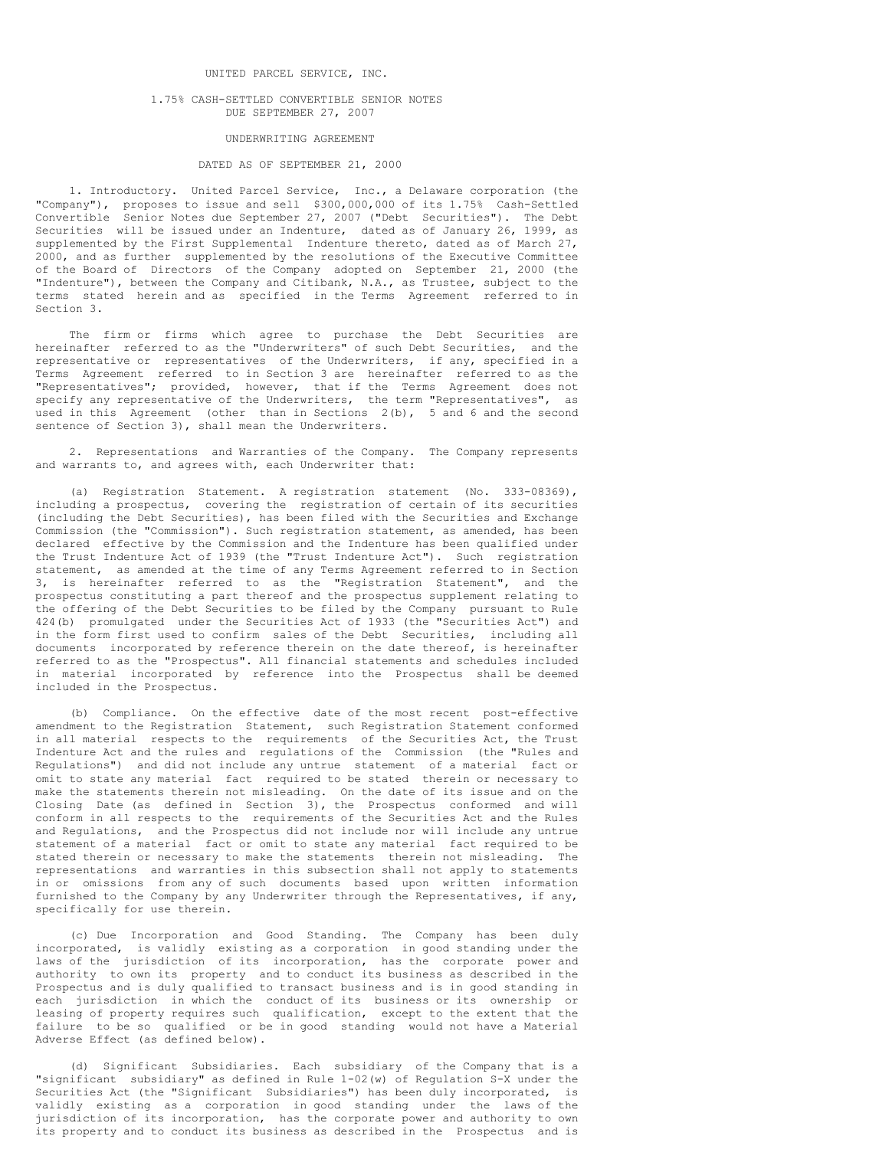## UNITED PARCEL SERVICE, INC.

#### 1.75% CASH-SETTLED CONVERTIBLE SENIOR NOTES DUE SEPTEMBER 27, 2007

### UNDERWRITING AGREEMENT

## DATED AS OF SEPTEMBER 21, 2000

1. Introductory. United Parcel Service, Inc., a Delaware corporation (the "Company"), proposes to issue and sell \$300,000,000 of its 1.75% Cash-Settled Convertible Senior Notes due September 27, 2007 ("Debt Securities"). The Debt Securities will be issued under an Indenture, dated as of January 26, 1999, as supplemented by the First Supplemental Indenture thereto, dated as of March 27, 2000, and as further supplemented by the resolutions of the Executive Committee of the Board of Directors of the Company adopted on September 21, 2000 (the "Indenture"), between the Company and Citibank, N.A., as Trustee, subject to the terms stated herein and as specified in the Terms Agreement referred to in Section 3.

The firm or firms which agree to purchase the Debt Securities are hereinafter referred to as the "Underwriters" of such Debt Securities, and the representative or representatives of the Underwriters, if any, specified in a Terms Agreement referred to in Section 3 are hereinafter referred to as the "Representatives"; provided, however, that if the Terms Agreement does not specify any representative of the Underwriters, the term "Representatives", as used in this Agreement (other than in Sections  $2(b)$ , 5 and 6 and the second sentence of Section 3), shall mean the Underwriters.

2. Representations and Warranties of the Company. The Company represents and warrants to, and agrees with, each Underwriter that:

(a) Registration Statement. A registration statement (No. 333-08369), including a prospectus, covering the registration of certain of its securities (including the Debt Securities), has been filed with the Securities and Exchange Commission (the "Commission"). Such registration statement, as amended, has been declared effective by the Commission and the Indenture has been qualified under the Trust Indenture Act of 1939 (the "Trust Indenture Act"). Such registration statement, as amended at the time of any Terms Agreement referred to in Section 3, is hereinafter referred to as the "Registration Statement", and the prospectus constituting a part thereof and the prospectus supplement relating to the offering of the Debt Securities to be filed by the Company pursuant to Rule 424(b) promulgated under the Securities Act of 1933 (the "Securities Act") and in the form first used to confirm sales of the Debt Securities, including all documents incorporated by reference therein on the date thereof, is hereinafter referred to as the "Prospectus". All financial statements and schedules included in material incorporated by reference into the Prospectus shall be deemed included in the Prospectus.

(b) Compliance. On the effective date of the most recent post-effective amendment to the Registration Statement, such Registration Statement conformed in all material respects to the requirements of the Securities Act, the Trust Indenture Act and the rules and regulations of the Commission (the "Rules and Regulations") and did not include any untrue statement of a material fact or omit to state any material fact required to be stated therein or necessary to make the statements therein not misleading. On the date of its issue and on the Closing Date (as defined in Section 3), the Prospectus conformed and will conform in all respects to the requirements of the Securities Act and the Rules and Regulations, and the Prospectus did not include nor will include any untrue statement of a material fact or omit to state any material fact required to be stated therein or necessary to make the statements therein not misleading. The representations and warranties in this subsection shall not apply to statements in or omissions from any of such documents based upon written information furnished to the Company by any Underwriter through the Representatives, if any, specifically for use therein.

(c) Due Incorporation and Good Standing. The Company has been duly incorporated, is validly existing as a corporation in good standing under the laws of the jurisdiction of its incorporation, has the corporate power and authority to own its property and to conduct its business as described in the Prospectus and is duly qualified to transact business and is in good standing in each jurisdiction in which the conduct of its business or its ownership or leasing of property requires such qualification, except to the extent that the failure to be so qualified or be in good standing would not have a Material Adverse Effect (as defined below).

(d) Significant Subsidiaries. Each subsidiary of the Company that is a "significant subsidiary" as defined in Rule 1-02(w) of Regulation S-X under the Securities Act (the "Significant Subsidiaries") has been duly incorporated, is validly existing as a corporation in good standing under the laws of the jurisdiction of its incorporation, has the corporate power and authority to own its property and to conduct its business as described in the Prospectus and is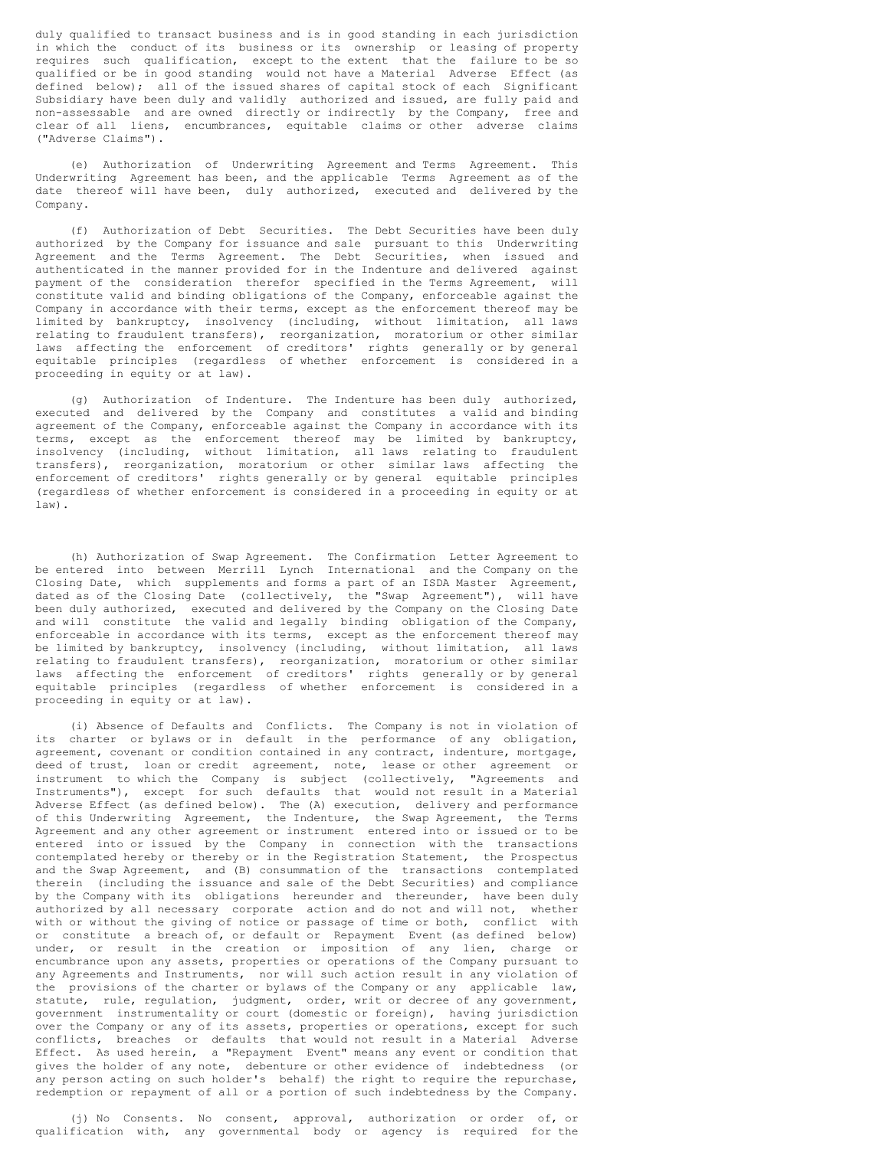duly qualified to transact business and is in good standing in each jurisdiction in which the conduct of its business or its ownership or leasing of property requires such qualification, except to the extent that the failure to be so qualified or be in good standing would not have a Material Adverse Effect (as defined below); all of the issued shares of capital stock of each Significant Subsidiary have been duly and validly authorized and issued, are fully paid and non-assessable and are owned directly or indirectly by the Company, free and clear of all liens, encumbrances, equitable claims or other adverse claims ("Adverse Claims").

(e) Authorization of Underwriting Agreement and Terms Agreement. This Underwriting Agreement has been, and the applicable Terms Agreement as of the date thereof will have been, duly authorized, executed and delivered by the Company.

(f) Authorization of Debt Securities. The Debt Securities have been duly authorized by the Company for issuance and sale pursuant to this Underwriting Agreement and the Terms Agreement. The Debt Securities, when issued and authenticated in the manner provided for in the Indenture and delivered against payment of the consideration therefor specified in the Terms Agreement, will constitute valid and binding obligations of the Company, enforceable against the Company in accordance with their terms, except as the enforcement thereof may be limited by bankruptcy, insolvency (including, without limitation, all laws relating to fraudulent transfers), reorganization, moratorium or other similar laws affecting the enforcement of creditors' rights generally or by general equitable principles (regardless of whether enforcement is considered in a proceeding in equity or at law).

(g) Authorization of Indenture. The Indenture has been duly authorized, executed and delivered by the Company and constitutes a valid and binding agreement of the Company, enforceable against the Company in accordance with its terms, except as the enforcement thereof may be limited by bankruptcy, insolvency (including, without limitation, all laws relating to fraudulent transfers), reorganization, moratorium or other similar laws affecting the enforcement of creditors' rights generally or by general equitable principles (regardless of whether enforcement is considered in a proceeding in equity or at law).

(h) Authorization of Swap Agreement. The Confirmation Letter Agreement to be entered into between Merrill Lynch International and the Company on the Closing Date, which supplements and forms a part of an ISDA Master Agreement, dated as of the Closing Date (collectively, the "Swap Agreement"), will have been duly authorized, executed and delivered by the Company on the Closing Date and will constitute the valid and legally binding obligation of the Company, enforceable in accordance with its terms, except as the enforcement thereof may be limited by bankruptcy, insolvency (including, without limitation, all laws relating to fraudulent transfers), reorganization, moratorium or other similar laws affecting the enforcement of creditors' rights generally or by general equitable principles (regardless of whether enforcement is considered in a proceeding in equity or at law).

(i) Absence of Defaults and Conflicts. The Company is not in violation of its charter or bylaws or in default in the performance of any obligation, agreement, covenant or condition contained in any contract, indenture, mortgage, deed of trust, loan or credit agreement, note, lease or other agreement or instrument to which the Company is subject (collectively, "Agreements and Instruments"), except for such defaults that would not result in a Material Adverse Effect (as defined below). The (A) execution, delivery and performance of this Underwriting Agreement, the Indenture, the Swap Agreement, the Terms Agreement and any other agreement or instrument entered into or issued or to be entered into or issued by the Company in connection with the transactions contemplated hereby or thereby or in the Registration Statement, the Prospectus and the Swap Agreement, and (B) consummation of the transactions contemplated therein (including the issuance and sale of the Debt Securities) and compliance by the Company with its obligations hereunder and thereunder, have been duly authorized by all necessary corporate action and do not and will not, whether with or without the giving of notice or passage of time or both, conflict with or constitute a breach of, or default or Repayment Event (as defined below) under, or result in the creation or imposition of any lien, charge or encumbrance upon any assets, properties or operations of the Company pursuant to any Agreements and Instruments, nor will such action result in any violation of the provisions of the charter or bylaws of the Company or any applicable law, statute, rule, regulation, judgment, order, writ or decree of any government, government instrumentality or court (domestic or foreign), having jurisdiction over the Company or any of its assets, properties or operations, except for such conflicts, breaches or defaults that would not result in a Material Adverse Effect. As used herein, a "Repayment Event" means any event or condition that gives the holder of any note, debenture or other evidence of indebtedness (or any person acting on such holder's behalf) the right to require the repurchase, redemption or repayment of all or a portion of such indebtedness by the Company.

(j) No Consents. No consent, approval, authorization or order of, or qualification with, any governmental body or agency is required for the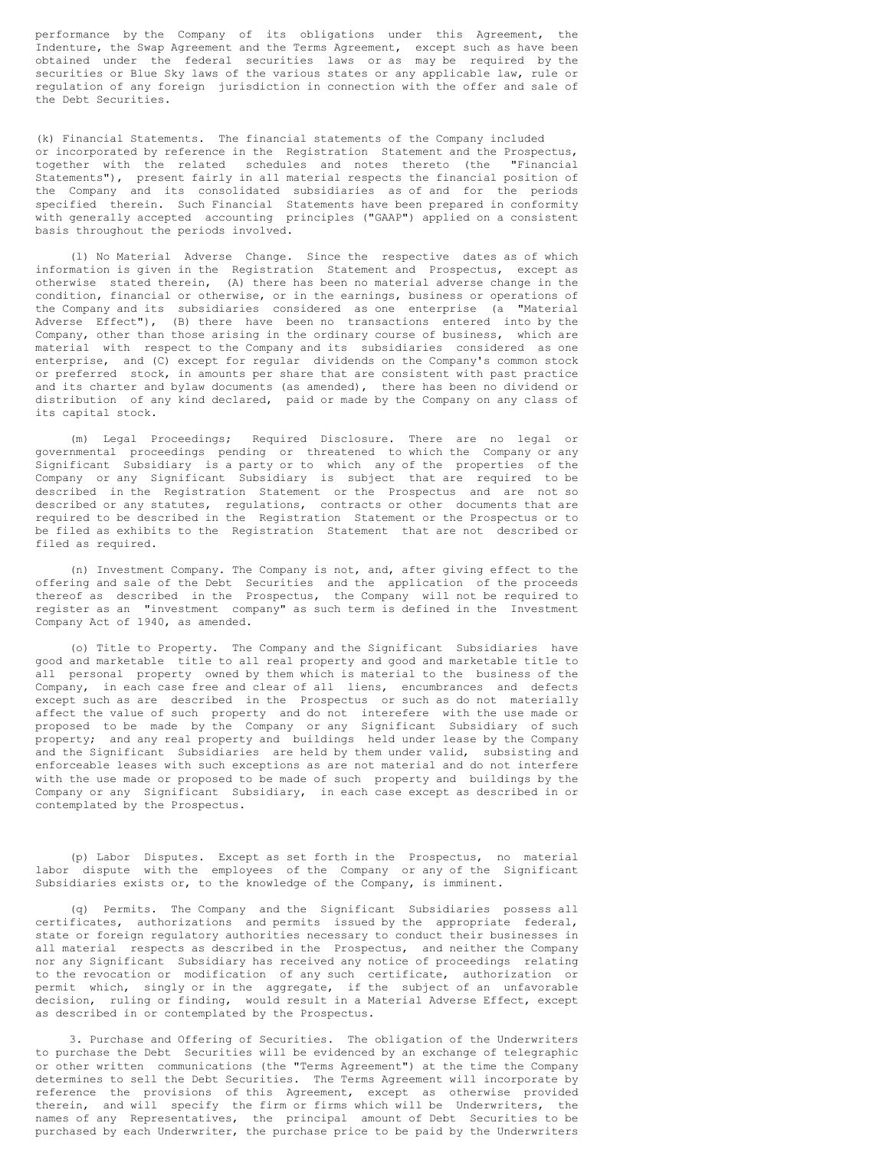performance by the Company of its obligations under this Agreement, the Indenture, the Swap Agreement and the Terms Agreement, except such as have been obtained under the federal securities laws or as may be required by the securities or Blue Sky laws of the various states or any applicable law, rule or regulation of any foreign jurisdiction in connection with the offer and sale of the Debt Securities.

(k) Financial Statements. The financial statements of the Company included or incorporated by reference in the Registration Statement and the Prospectus, together with the related schedules and notes thereto (the "Financial Statements"), present fairly in all material respects the financial position of the Company and its consolidated subsidiaries as of and for the periods specified therein. Such Financial Statements have been prepared in conformity with generally accepted accounting principles ("GAAP") applied on a consistent basis throughout the periods involved.

(l) No Material Adverse Change. Since the respective dates as of which information is given in the Registration Statement and Prospectus, except as otherwise stated therein, (A) there has been no material adverse change in the condition, financial or otherwise, or in the earnings, business or operations of the Company and its subsidiaries considered as one enterprise (a "Material Adverse Effect"), (B) there have been no transactions entered into by the Company, other than those arising in the ordinary course of business, which are material with respect to the Company and its subsidiaries considered as one enterprise, and (C) except for regular dividends on the Company's common stock or preferred stock, in amounts per share that are consistent with past practice and its charter and bylaw documents (as amended), there has been no dividend or distribution of any kind declared, paid or made by the Company on any class of its capital stock.

(m) Legal Proceedings; Required Disclosure. There are no legal or governmental proceedings pending or threatened to which the Company or any Significant Subsidiary is a party or to which any of the properties of the Company or any Significant Subsidiary is subject that are required to be described in the Registration Statement or the Prospectus and are not so described or any statutes, regulations, contracts or other documents that are required to be described in the Registration Statement or the Prospectus or to be filed as exhibits to the Registration Statement that are not described or filed as required.

(n) Investment Company. The Company is not, and, after giving effect to the offering and sale of the Debt Securities and the application of the proceeds thereof as described in the Prospectus, the Company will not be required to register as an "investment company" as such term is defined in the Investment Company Act of 1940, as amended.

(o) Title to Property. The Company and the Significant Subsidiaries have good and marketable title to all real property and good and marketable title to all personal property owned by them which is material to the business of the Company, in each case free and clear of all liens, encumbrances and defects except such as are described in the Prospectus or such as do not materially affect the value of such property and do not interefere with the use made or proposed to be made by the Company or any Significant Subsidiary of such property; and any real property and buildings held under lease by the Company and the Significant Subsidiaries are held by them under valid, subsisting and enforceable leases with such exceptions as are not material and do not interfere with the use made or proposed to be made of such property and buildings by the Company or any Significant Subsidiary, in each case except as described in or contemplated by the Prospectus.

(p) Labor Disputes. Except as set forth in the Prospectus, no material labor dispute with the employees of the Company or any of the Significant Subsidiaries exists or, to the knowledge of the Company, is imminent.

(q) Permits. The Company and the Significant Subsidiaries possess all certificates, authorizations and permits issued by the appropriate federal, state or foreign regulatory authorities necessary to conduct their businesses in all material respects as described in the Prospectus, and neither the Company nor any Significant Subsidiary has received any notice of proceedings relating to the revocation or modification of any such certificate, authorization or permit which, singly or in the aggregate, if the subject of an unfavorable decision, ruling or finding, would result in a Material Adverse Effect, except as described in or contemplated by the Prospectus.

3. Purchase and Offering of Securities. The obligation of the Underwriters to purchase the Debt Securities will be evidenced by an exchange of telegraphic or other written communications (the "Terms Agreement") at the time the Company determines to sell the Debt Securities. The Terms Agreement will incorporate by reference the provisions of this Agreement, except as otherwise provided therein, and will specify the firm or firms which will be Underwriters, the names of any Representatives, the principal amount of Debt Securities to be purchased by each Underwriter, the purchase price to be paid by the Underwriters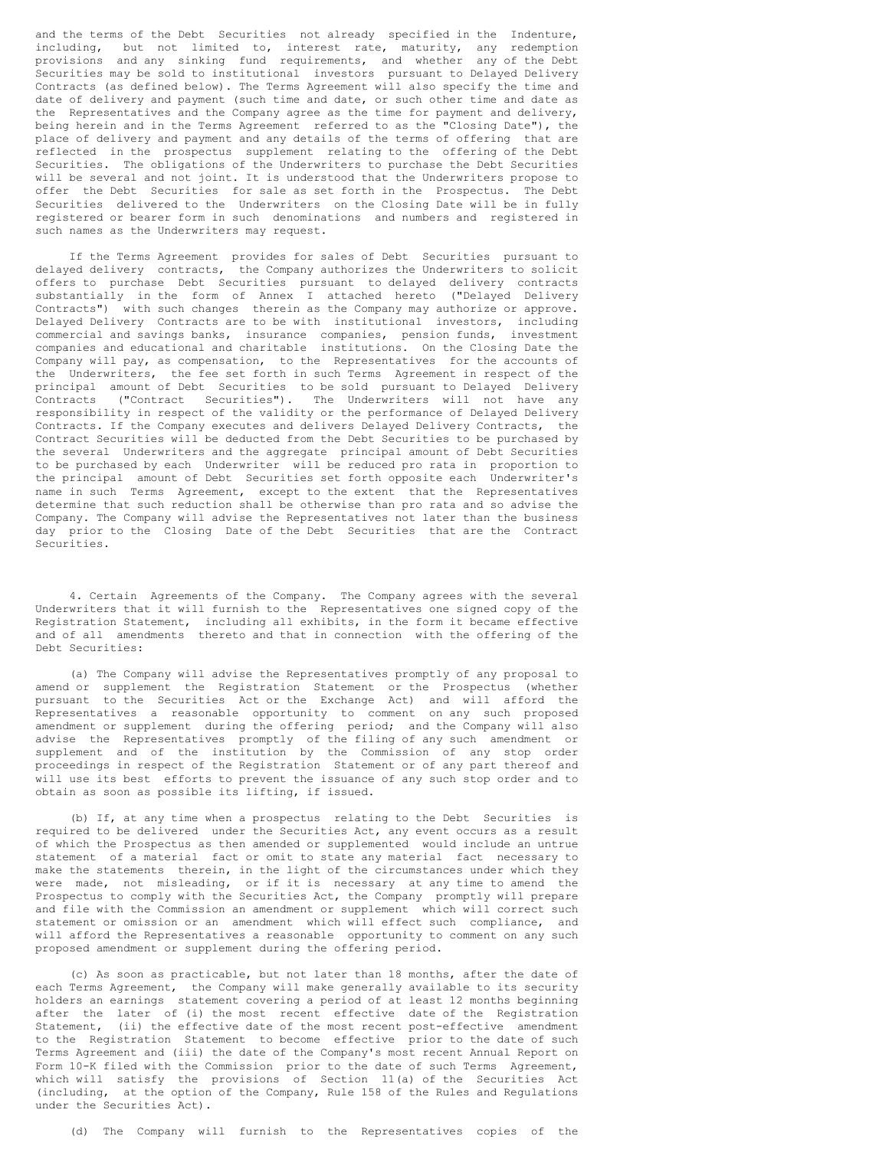and the terms of the Debt Securities not already specified in the Indenture, including, but not limited to, interest rate, maturity, any redemption provisions and any sinking fund requirements, and whether any of the Debt Securities may be sold to institutional investors pursuant to Delayed Delivery Contracts (as defined below). The Terms Agreement will also specify the time and date of delivery and payment (such time and date, or such other time and date as the Representatives and the Company agree as the time for payment and delivery, being herein and in the Terms Agreement referred to as the "Closing Date"), the place of delivery and payment and any details of the terms of offering that are reflected in the prospectus supplement relating to the offering of the Debt Securities. The obligations of the Underwriters to purchase the Debt Securities will be several and not joint. It is understood that the Underwriters propose to offer the Debt Securities for sale as set forth in the Prospectus. The Debt Securities delivered to the Underwriters on the Closing Date will be in fully registered or bearer form in such denominations and numbers and registered in such names as the Underwriters may request.

If the Terms Agreement provides for sales of Debt Securities pursuant to delayed delivery contracts, the Company authorizes the Underwriters to solicit offers to purchase Debt Securities pursuant to delayed delivery contracts substantially in the form of Annex I attached hereto ("Delayed Delivery Contracts") with such changes therein as the Company may authorize or approve. Delayed Delivery Contracts are to be with institutional investors, including commercial and savings banks, insurance companies, pension funds, investment companies and educational and charitable institutions. On the Closing Date the Company will pay, as compensation, to the Representatives for the accounts of the Underwriters, the fee set forth in such Terms Agreement in respect of the principal amount of Debt Securities to be sold pursuant to Delayed Delivery Contracts ("Contract Securities"). The Underwriters will not have any responsibility in respect of the validity or the performance of Delayed Delivery Contracts. If the Company executes and delivers Delayed Delivery Contracts, the Contract Securities will be deducted from the Debt Securities to be purchased by the several Underwriters and the aggregate principal amount of Debt Securities to be purchased by each Underwriter will be reduced pro rata in proportion to the principal amount of Debt Securities set forth opposite each Underwriter's name in such Terms Agreement, except to the extent that the Representatives determine that such reduction shall be otherwise than pro rata and so advise the Company. The Company will advise the Representatives not later than the business day prior to the Closing Date of the Debt Securities that are the Contract Securities.

4. Certain Agreements of the Company. The Company agrees with the several Underwriters that it will furnish to the Representatives one signed copy of the Registration Statement, including all exhibits, in the form it became effective and of all amendments thereto and that in connection with the offering of the Debt Securities:

(a) The Company will advise the Representatives promptly of any proposal to amend or supplement the Registration Statement or the Prospectus (whether pursuant to the Securities Act or the Exchange Act) and will afford the Representatives a reasonable opportunity to comment on any such proposed amendment or supplement during the offering period; and the Company will also advise the Representatives promptly of the filing of any such amendment or supplement and of the institution by the Commission of any stop order proceedings in respect of the Registration Statement or of any part thereof and will use its best efforts to prevent the issuance of any such stop order and to obtain as soon as possible its lifting, if issued.

(b) If, at any time when a prospectus relating to the Debt Securities is required to be delivered under the Securities Act, any event occurs as a result of which the Prospectus as then amended or supplemented would include an untrue statement of a material fact or omit to state any material fact necessary to make the statements therein, in the light of the circumstances under which they were made, not misleading, or if it is necessary at any time to amend the Prospectus to comply with the Securities Act, the Company promptly will prepare and file with the Commission an amendment or supplement which will correct such statement or omission or an amendment which will effect such compliance, and will afford the Representatives a reasonable opportunity to comment on any such proposed amendment or supplement during the offering period.

(c) As soon as practicable, but not later than 18 months, after the date of each Terms Agreement, the Company will make generally available to its security holders an earnings statement covering a period of at least 12 months beginning after the later of (i) the most recent effective date of the Registration Statement, (ii) the effective date of the most recent post-effective amendment to the Registration Statement to become effective prior to the date of such Terms Agreement and (iii) the date of the Company's most recent Annual Report on Form 10-K filed with the Commission prior to the date of such Terms Agreement, which will satisfy the provisions of Section 11(a) of the Securities Act (including, at the option of the Company, Rule 158 of the Rules and Regulations under the Securities Act).

(d) The Company will furnish to the Representatives copies of the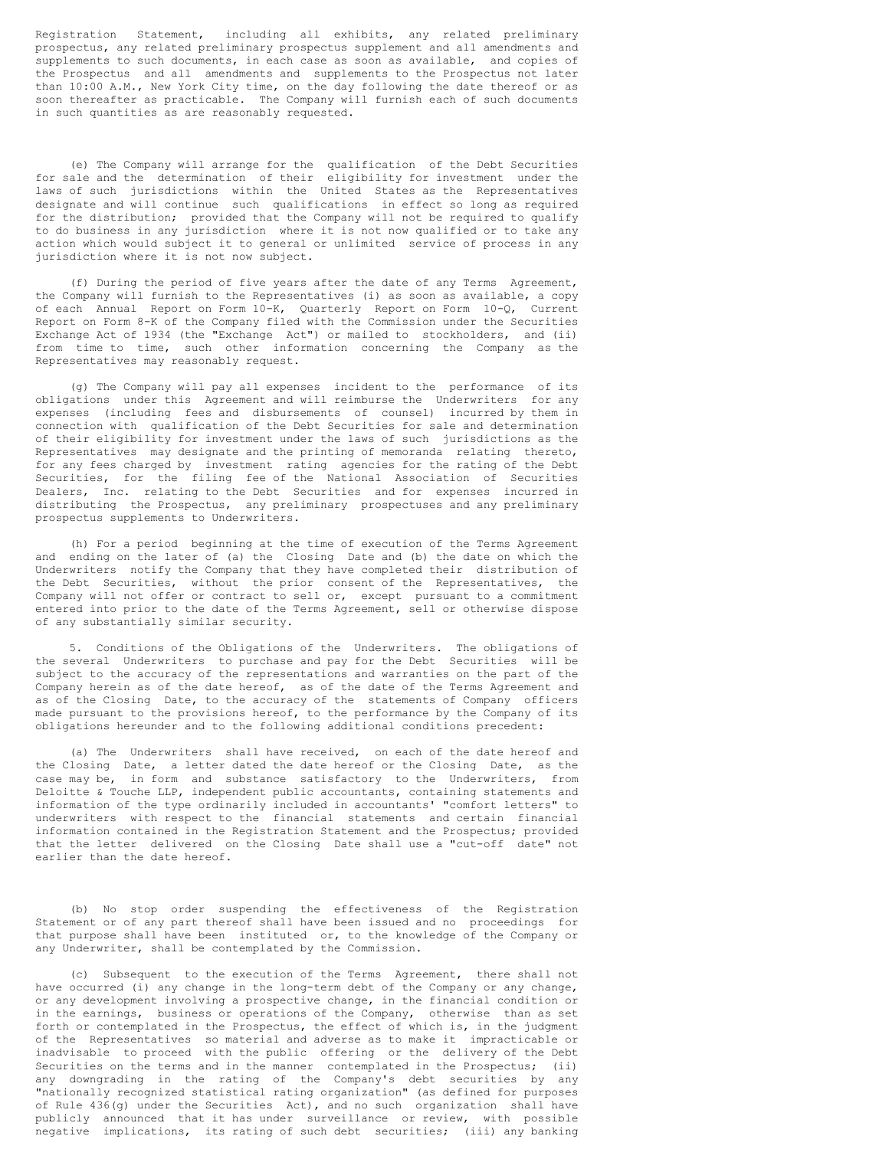Registration Statement, including all exhibits, any related preliminary prospectus, any related preliminary prospectus supplement and all amendments and supplements to such documents, in each case as soon as available, and copies of the Prospectus and all amendments and supplements to the Prospectus not later than 10:00 A.M., New York City time, on the day following the date thereof or as soon thereafter as practicable. The Company will furnish each of such documents in such quantities as are reasonably requested.

(e) The Company will arrange for the qualification of the Debt Securities for sale and the determination of their eligibility for investment under the laws of such jurisdictions within the United States as the Representatives designate and will continue such qualifications in effect so long as required for the distribution; provided that the Company will not be required to qualify to do business in any jurisdiction where it is not now qualified or to take any action which would subject it to general or unlimited service of process in any jurisdiction where it is not now subject.

(f) During the period of five years after the date of any Terms Agreement, the Company will furnish to the Representatives (i) as soon as available, a copy of each Annual Report on Form 10-K, Quarterly Report on Form 10-Q, Current Report on Form 8-K of the Company filed with the Commission under the Securities Exchange Act of 1934 (the "Exchange Act") or mailed to stockholders, and (ii) from time to time, such other information concerning the Company as the Representatives may reasonably request.

(g) The Company will pay all expenses incident to the performance of its obligations under this Agreement and will reimburse the Underwriters for any expenses (including fees and disbursements of counsel) incurred by them in connection with qualification of the Debt Securities for sale and determination of their eligibility for investment under the laws of such jurisdictions as the Representatives may designate and the printing of memoranda relating thereto, for any fees charged by investment rating agencies for the rating of the Debt Securities, for the filing fee of the National Association of Securities Dealers, Inc. relating to the Debt Securities and for expenses incurred in distributing the Prospectus, any preliminary prospectuses and any preliminary prospectus supplements to Underwriters.

(h) For a period beginning at the time of execution of the Terms Agreement and ending on the later of (a) the Closing Date and (b) the date on which the Underwriters notify the Company that they have completed their distribution of the Debt Securities, without the prior consent of the Representatives, the Company will not offer or contract to sell or, except pursuant to a commitment entered into prior to the date of the Terms Agreement, sell or otherwise dispose of any substantially similar security.

5. Conditions of the Obligations of the Underwriters. The obligations of the several Underwriters to purchase and pay for the Debt Securities will be subject to the accuracy of the representations and warranties on the part of the Company herein as of the date hereof, as of the date of the Terms Agreement and as of the Closing Date, to the accuracy of the statements of Company officers made pursuant to the provisions hereof, to the performance by the Company of its obligations hereunder and to the following additional conditions precedent:

(a) The Underwriters shall have received, on each of the date hereof and the Closing Date, a letter dated the date hereof or the Closing Date, as the case may be, in form and substance satisfactory to the Underwriters, from Deloitte & Touche LLP, independent public accountants, containing statements and information of the type ordinarily included in accountants' "comfort letters" to underwriters with respect to the financial statements and certain financial information contained in the Registration Statement and the Prospectus; provided that the letter delivered on the Closing Date shall use a "cut-off date" not earlier than the date hereof.

(b) No stop order suspending the effectiveness of the Registration Statement or of any part thereof shall have been issued and no proceedings for that purpose shall have been instituted or, to the knowledge of the Company or any Underwriter, shall be contemplated by the Commission.

(c) Subsequent to the execution of the Terms Agreement, there shall not have occurred (i) any change in the long-term debt of the Company or any change, or any development involving a prospective change, in the financial condition or in the earnings, business or operations of the Company, otherwise than as set forth or contemplated in the Prospectus, the effect of which is, in the judgment of the Representatives so material and adverse as to make it impracticable or inadvisable to proceed with the public offering or the delivery of the Debt Securities on the terms and in the manner contemplated in the Prospectus; (ii) any downgrading in the rating of the Company's debt securities by any "nationally recognized statistical rating organization" (as defined for purposes of Rule 436(g) under the Securities Act), and no such organization shall have publicly announced that it has under surveillance or review, with possible negative implications, its rating of such debt securities; (iii) any banking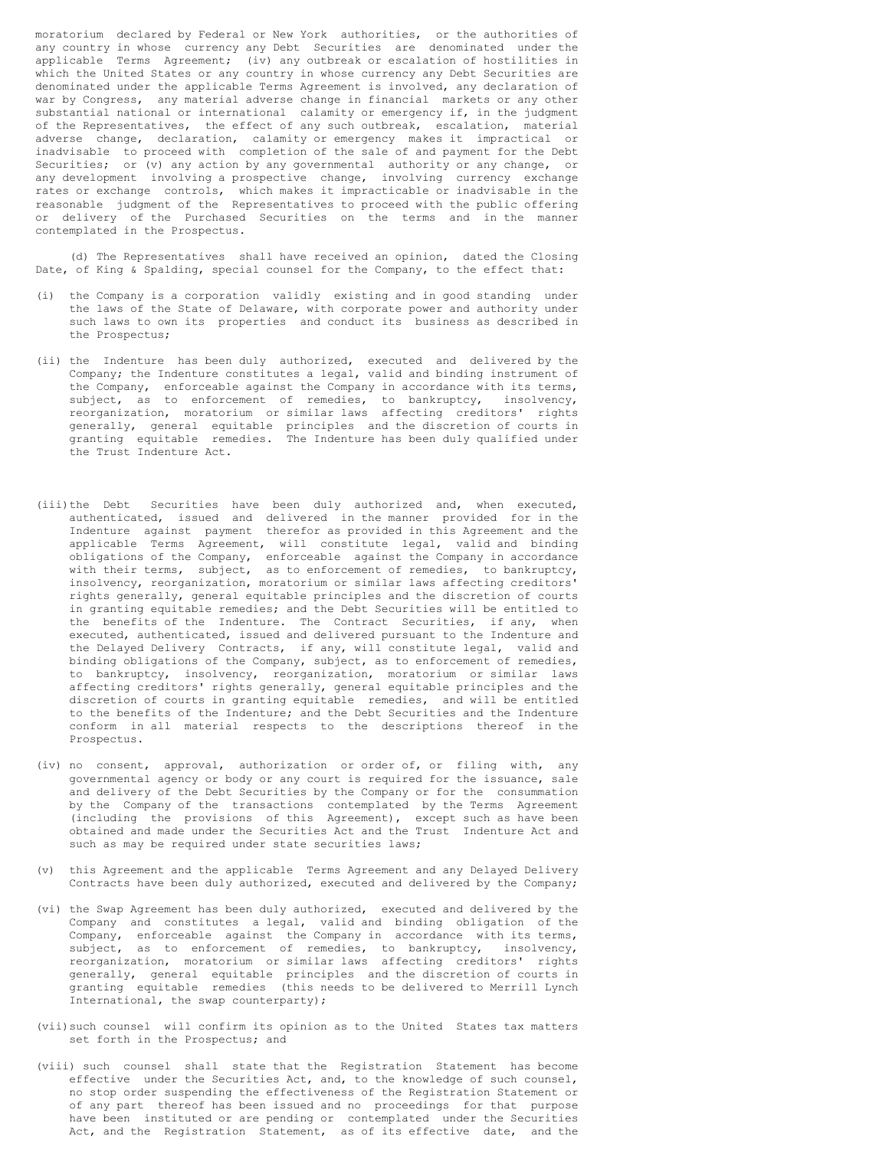moratorium declared by Federal or New York authorities, or the authorities of any country in whose currency any Debt Securities are denominated under the applicable Terms Agreement; (iv) any outbreak or escalation of hostilities in which the United States or any country in whose currency any Debt Securities are denominated under the applicable Terms Agreement is involved, any declaration of war by Congress, any material adverse change in financial markets or any other substantial national or international calamity or emergency if, in the judgment of the Representatives, the effect of any such outbreak, escalation, material adverse change, declaration, calamity or emergency makes it impractical or inadvisable to proceed with completion of the sale of and payment for the Debt Securities; or (v) any action by any governmental authority or any change, or any development involving a prospective change, involving currency exchange rates or exchange controls, which makes it impracticable or inadvisable in the reasonable judgment of the Representatives to proceed with the public offering or delivery of the Purchased Securities on the terms and in the manner contemplated in the Prospectus.

(d) The Representatives shall have received an opinion, dated the Closing Date, of King & Spalding, special counsel for the Company, to the effect that:

- (i) the Company is a corporation validly existing and in good standing under the laws of the State of Delaware, with corporate power and authority under such laws to own its properties and conduct its business as described in the Prospectus;
- (ii) the Indenture has been duly authorized, executed and delivered by the Company; the Indenture constitutes a legal, valid and binding instrument of the Company, enforceable against the Company in accordance with its terms, subject, as to enforcement of remedies, to bankruptcy, insolvency, reorganization, moratorium or similar laws affecting creditors' rights generally, general equitable principles and the discretion of courts in granting equitable remedies. The Indenture has been duly qualified under the Trust Indenture Act.
- (iii)the Debt Securities have been duly authorized and, when executed, authenticated, issued and delivered in the manner provided for in the Indenture against payment therefor as provided in this Agreement and the applicable Terms Agreement, will constitute legal, valid and binding obligations of the Company, enforceable against the Company in accordance with their terms, subject, as to enforcement of remedies, to bankruptcy, insolvency, reorganization, moratorium or similar laws affecting creditors' rights generally, general equitable principles and the discretion of courts in granting equitable remedies; and the Debt Securities will be entitled to the benefits of the Indenture. The Contract Securities, if any, when executed, authenticated, issued and delivered pursuant to the Indenture and the Delayed Delivery Contracts, if any, will constitute legal, valid and binding obligations of the Company, subject, as to enforcement of remedies, to bankruptcy, insolvency, reorganization, moratorium or similar laws affecting creditors' rights generally, general equitable principles and the discretion of courts in granting equitable remedies, and will be entitled to the benefits of the Indenture; and the Debt Securities and the Indenture conform in all material respects to the descriptions thereof in the Prospectus.
- (iv) no consent, approval, authorization or order of, or filing with, any governmental agency or body or any court is required for the issuance, sale and delivery of the Debt Securities by the Company or for the consummation by the Company of the transactions contemplated by the Terms Agreement (including the provisions of this Agreement), except such as have been obtained and made under the Securities Act and the Trust Indenture Act and such as may be required under state securities laws;
- (v) this Agreement and the applicable Terms Agreement and any Delayed Delivery Contracts have been duly authorized, executed and delivered by the Company;
- (vi) the Swap Agreement has been duly authorized, executed and delivered by the Company and constitutes a legal, valid and binding obligation of the Company, enforceable against the Company in accordance with its terms, subject, as to enforcement of remedies, to bankruptcy, insolvency, reorganization, moratorium or similar laws affecting creditors' rights generally, general equitable principles and the discretion of courts in granting equitable remedies (this needs to be delivered to Merrill Lynch International, the swap counterparty);
- (vii)such counsel will confirm its opinion as to the United States tax matters set forth in the Prospectus; and
- (viii) such counsel shall state that the Registration Statement has become effective under the Securities Act, and, to the knowledge of such counsel, no stop order suspending the effectiveness of the Registration Statement or of any part thereof has been issued and no proceedings for that purpose have been instituted or are pending or contemplated under the Securities Act, and the Registration Statement, as of its effective date, and the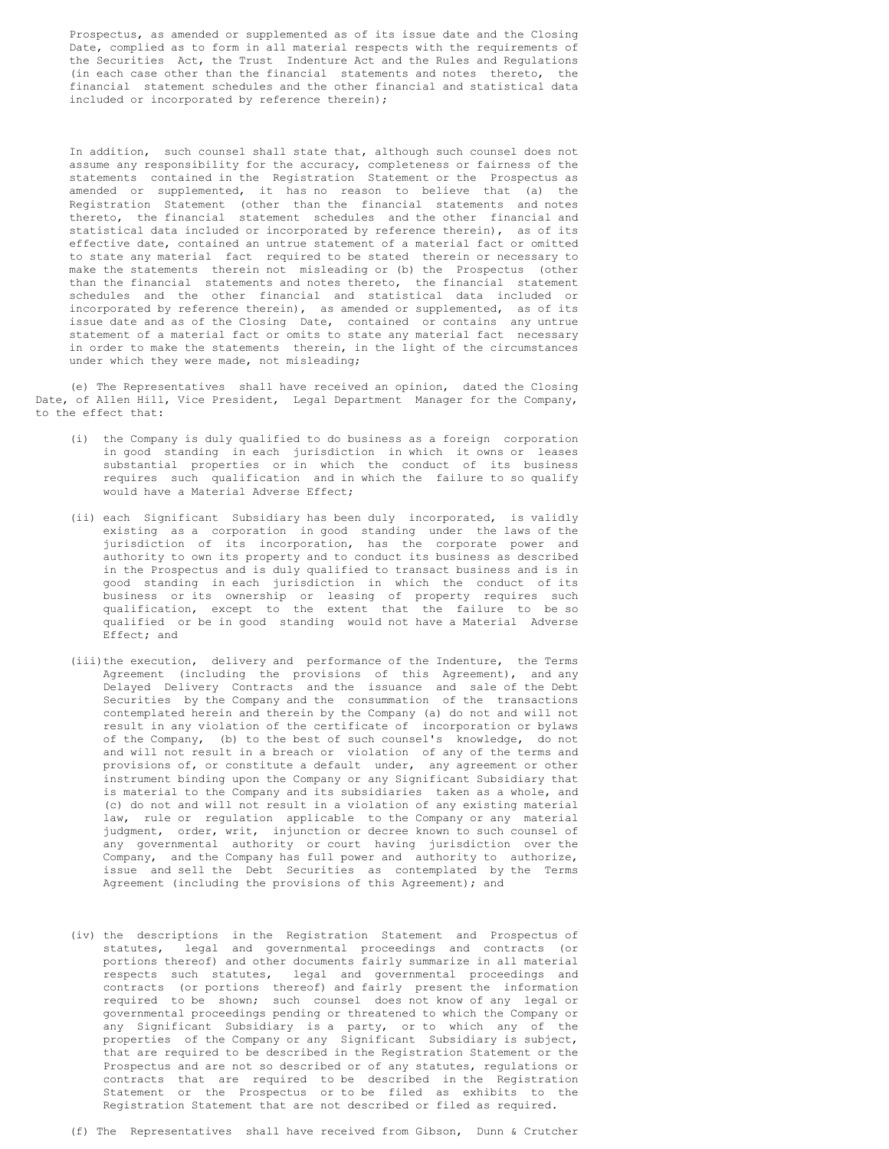Prospectus, as amended or supplemented as of its issue date and the Closing Date, complied as to form in all material respects with the requirements of the Securities Act, the Trust Indenture Act and the Rules and Regulations (in each case other than the financial statements and notes thereto, the financial statement schedules and the other financial and statistical data included or incorporated by reference therein);

In addition, such counsel shall state that, although such counsel does not assume any responsibility for the accuracy, completeness or fairness of the statements contained in the Registration Statement or the Prospectus as amended or supplemented, it has no reason to believe that (a) the Registration Statement (other than the financial statements and notes thereto, the financial statement schedules and the other financial and statistical data included or incorporated by reference therein), as of its effective date, contained an untrue statement of a material fact or omitted to state any material fact required to be stated therein or necessary to make the statements therein not misleading or (b) the Prospectus (other than the financial statements and notes thereto, the financial statement schedules and the other financial and statistical data included or incorporated by reference therein), as amended or supplemented, as of its issue date and as of the Closing Date, contained or contains any untrue statement of a material fact or omits to state any material fact necessary in order to make the statements therein, in the light of the circumstances under which they were made, not misleading;

(e) The Representatives shall have received an opinion, dated the Closing Date, of Allen Hill, Vice President, Legal Department Manager for the Company, to the effect that:

- (i) the Company is duly qualified to do business as a foreign corporation in good standing in each jurisdiction in which it owns or leases substantial properties or in which the conduct of its business requires such qualification and in which the failure to so qualify would have a Material Adverse Effect;
- (ii) each Significant Subsidiary has been duly incorporated, is validly existing as a corporation in good standing under the laws of the jurisdiction of its incorporation, has the corporate power and authority to own its property and to conduct its business as described in the Prospectus and is duly qualified to transact business and is in good standing in each jurisdiction in which the conduct of its business or its ownership or leasing of property requires such qualification, except to the extent that the failure to be so qualified or be in good standing would not have a Material Adverse Effect; and
- (iii)the execution, delivery and performance of the Indenture, the Terms Agreement (including the provisions of this Agreement), and any Delayed Delivery Contracts and the issuance and sale of the Debt Securities by the Company and the consummation of the transactions contemplated herein and therein by the Company (a) do not and will not result in any violation of the certificate of incorporation or bylaws of the Company, (b) to the best of such counsel's knowledge, do not and will not result in a breach or violation of any of the terms and provisions of, or constitute a default under, any agreement or other instrument binding upon the Company or any Significant Subsidiary that is material to the Company and its subsidiaries taken as a whole, and (c) do not and will not result in a violation of any existing material law, rule or regulation applicable to the Company or any material judgment, order, writ, injunction or decree known to such counsel of any governmental authority or court having jurisdiction over the Company, and the Company has full power and authority to authorize, issue and sell the Debt Securities as contemplated by the Terms Agreement (including the provisions of this Agreement); and
- (iv) the descriptions in the Registration Statement and Prospectus of statutes, legal and governmental proceedings and contracts (or portions thereof) and other documents fairly summarize in all material respects such statutes, legal and governmental proceedings and contracts (or portions thereof) and fairly present the information required to be shown; such counsel does not know of any legal or governmental proceedings pending or threatened to which the Company or any Significant Subsidiary is a party, or to which any of the properties of the Company or any Significant Subsidiary is subject, that are required to be described in the Registration Statement or the Prospectus and are not so described or of any statutes, regulations or contracts that are required to be described in the Registration Statement or the Prospectus or to be filed as exhibits to the Registration Statement that are not described or filed as required.
- (f) The Representatives shall have received from Gibson, Dunn & Crutcher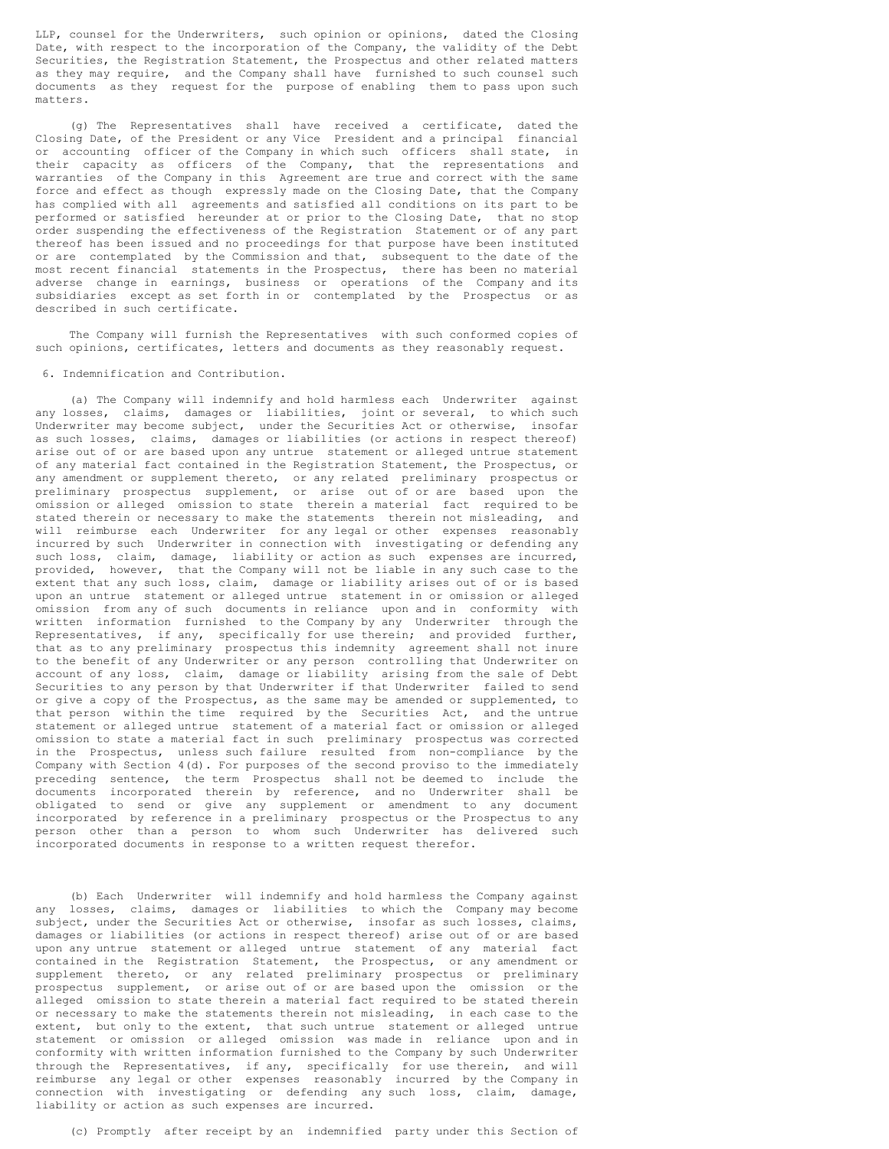LLP, counsel for the Underwriters, such opinion or opinions, dated the Closing Date, with respect to the incorporation of the Company, the validity of the Debt Securities, the Registration Statement, the Prospectus and other related matters as they may require, and the Company shall have furnished to such counsel such documents as they request for the purpose of enabling them to pass upon such matters.

(g) The Representatives shall have received a certificate, dated the Closing Date, of the President or any Vice President and a principal financial or accounting officer of the Company in which such officers shall state, in their capacity as officers of the Company, that the representations and warranties of the Company in this Agreement are true and correct with the same force and effect as though expressly made on the Closing Date, that the Company has complied with all agreements and satisfied all conditions on its part to be performed or satisfied hereunder at or prior to the Closing Date, that no stop order suspending the effectiveness of the Registration Statement or of any part thereof has been issued and no proceedings for that purpose have been instituted or are contemplated by the Commission and that, subsequent to the date of the most recent financial statements in the Prospectus, there has been no material adverse change in earnings, business or operations of the Company and its subsidiaries except as set forth in or contemplated by the Prospectus or as described in such certificate.

The Company will furnish the Representatives with such conformed copies of such opinions, certificates, letters and documents as they reasonably request.

6. Indemnification and Contribution.

(a) The Company will indemnify and hold harmless each Underwriter against any losses, claims, damages or liabilities, joint or several, to which such Underwriter may become subject, under the Securities Act or otherwise, insofar as such losses, claims, damages or liabilities (or actions in respect thereof) arise out of or are based upon any untrue statement or alleged untrue statement of any material fact contained in the Registration Statement, the Prospectus, or any amendment or supplement thereto, or any related preliminary prospectus or preliminary prospectus supplement, or arise out of or are based upon the omission or alleged omission to state therein a material fact required to be stated therein or necessary to make the statements therein not misleading, and will reimburse each Underwriter for any legal or other expenses reasonably incurred by such Underwriter in connection with investigating or defending any such loss, claim, damage, liability or action as such expenses are incurred, provided, however, that the Company will not be liable in any such case to the extent that any such loss, claim, damage or liability arises out of or is based upon an untrue statement or alleged untrue statement in or omission or alleged omission from any of such documents in reliance upon and in conformity with written information furnished to the Company by any Underwriter through the Representatives, if any, specifically for use therein; and provided further, that as to any preliminary prospectus this indemnity agreement shall not inure to the benefit of any Underwriter or any person controlling that Underwriter on account of any loss, claim, damage or liability arising from the sale of Debt Securities to any person by that Underwriter if that Underwriter failed to send or give a copy of the Prospectus, as the same may be amended or supplemented, to that person within the time required by the Securities Act, and the untrue statement or alleged untrue statement of a material fact or omission or alleged omission to state a material fact in such preliminary prospectus was corrected in the Prospectus, unless such failure resulted from non-compliance by the Company with Section 4(d). For purposes of the second proviso to the immediately preceding sentence, the term Prospectus shall not be deemed to include the documents incorporated therein by reference, and no Underwriter shall be obligated to send or give any supplement or amendment to any document incorporated by reference in a preliminary prospectus or the Prospectus to any person other than a person to whom such Underwriter has delivered such incorporated documents in response to a written request therefor.

(b) Each Underwriter will indemnify and hold harmless the Company against any losses, claims, damages or liabilities to which the Company may become subject, under the Securities Act or otherwise, insofar as such losses, claims, damages or liabilities (or actions in respect thereof) arise out of or are based upon any untrue statement or alleged untrue statement of any material fact contained in the Registration Statement, the Prospectus, or any amendment or supplement thereto, or any related preliminary prospectus or preliminary prospectus supplement, or arise out of or are based upon the omission or the alleged omission to state therein a material fact required to be stated therein or necessary to make the statements therein not misleading, in each case to the extent, but only to the extent, that such untrue statement or alleged untrue statement or omission or alleged omission was made in reliance upon and in conformity with written information furnished to the Company by such Underwriter through the Representatives, if any, specifically for use therein, and will reimburse any legal or other expenses reasonably incurred by the Company in connection with investigating or defending any such loss, claim, damage, liability or action as such expenses are incurred.

(c) Promptly after receipt by an indemnified party under this Section of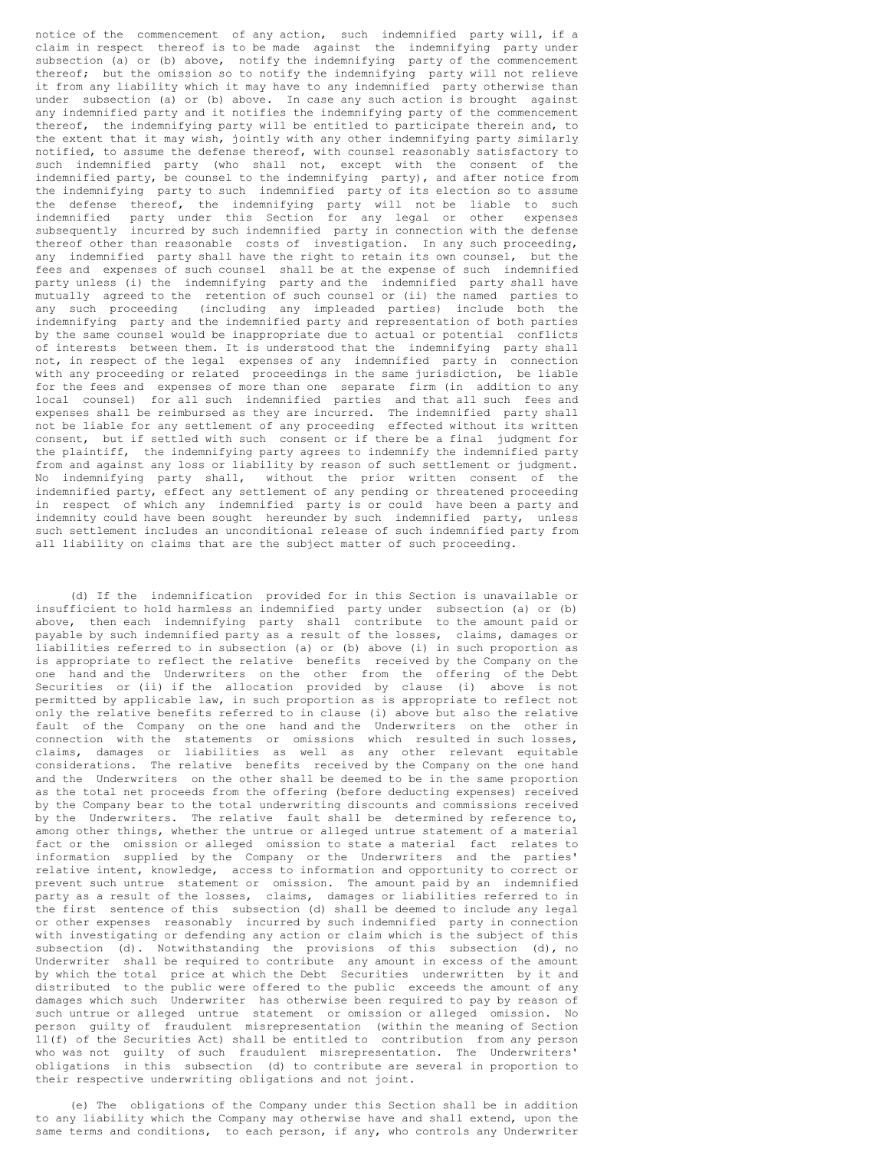notice of the commencement of any action, such indemnified party will, if a claim in respect thereof is to be made against the indemnifying party under subsection (a) or (b) above, notify the indemnifying party of the commencement thereof; but the omission so to notify the indemnifying party will not relieve it from any liability which it may have to any indemnified party otherwise than under subsection (a) or (b) above. In case any such action is brought against any indemnified party and it notifies the indemnifying party of the commencement thereof, the indemnifying party will be entitled to participate therein and, to the extent that it may wish, jointly with any other indemnifying party similarly notified, to assume the defense thereof, with counsel reasonably satisfactory to such indemnified party (who shall not, except with the consent of the indemnified party, be counsel to the indemnifying party), and after notice from the indemnifying party to such indemnified party of its election so to assume the defense thereof, the indemnifying party will not be liable to such indemnified party under this Section for any legal or other expenses subsequently incurred by such indemnified party in connection with the defense thereof other than reasonable costs of investigation. In any such proceeding, any indemnified party shall have the right to retain its own counsel, but the fees and expenses of such counsel shall be at the expense of such indemnified party unless (i) the indemnifying party and the indemnified party shall have mutually agreed to the retention of such counsel or (ii) the named parties to any such proceeding (including any impleaded parties) include both the indemnifying party and the indemnified party and representation of both parties by the same counsel would be inappropriate due to actual or potential conflicts of interests between them. It is understood that the indemnifying party shall not, in respect of the legal expenses of any indemnified party in connection with any proceeding or related proceedings in the same jurisdiction, be liable for the fees and expenses of more than one separate firm (in addition to any local counsel) for all such indemnified parties and that all such fees and expenses shall be reimbursed as they are incurred. The indemnified party shall not be liable for any settlement of any proceeding effected without its written consent, but if settled with such consent or if there be a final judgment for the plaintiff, the indemnifying party agrees to indemnify the indemnified party from and against any loss or liability by reason of such settlement or judgment. No indemnifying party shall, without the prior written consent of the indemnified party, effect any settlement of any pending or threatened proceeding in respect of which any indemnified party is or could have been a party and indemnity could have been sought hereunder by such indemnified party, unless such settlement includes an unconditional release of such indemnified party from all liability on claims that are the subject matter of such proceeding.

(d) If the indemnification provided for in this Section is unavailable or insufficient to hold harmless an indemnified party under subsection (a) or (b) above, then each indemnifying party shall contribute to the amount paid or payable by such indemnified party as a result of the losses, claims, damages or liabilities referred to in subsection (a) or (b) above (i) in such proportion as is appropriate to reflect the relative benefits received by the Company on the one hand and the Underwriters on the other from the offering of the Debt Securities or (ii) if the allocation provided by clause (i) above is not permitted by applicable law, in such proportion as is appropriate to reflect not only the relative benefits referred to in clause (i) above but also the relative fault of the Company on the one hand and the Underwriters on the other in connection with the statements or omissions which resulted in such losses, claims, damages or liabilities as well as any other relevant equitable considerations. The relative benefits received by the Company on the one hand and the Underwriters on the other shall be deemed to be in the same proportion as the total net proceeds from the offering (before deducting expenses) received by the Company bear to the total underwriting discounts and commissions received by the Underwriters. The relative fault shall be determined by reference to, among other things, whether the untrue or alleged untrue statement of a material fact or the omission or alleged omission to state a material fact relates to information supplied by the Company or the Underwriters and the parties' relative intent, knowledge, access to information and opportunity to correct or prevent such untrue statement or omission. The amount paid by an indemnified party as a result of the losses, claims, damages or liabilities referred to in the first sentence of this subsection (d) shall be deemed to include any legal or other expenses reasonably incurred by such indemnified party in connection with investigating or defending any action or claim which is the subject of this subsection (d). Notwithstanding the provisions of this subsection (d), no Underwriter shall be required to contribute any amount in excess of the amount by which the total price at which the Debt Securities underwritten by it and distributed to the public were offered to the public exceeds the amount of any damages which such Underwriter has otherwise been required to pay by reason of such untrue or alleged untrue statement or omission or alleged omission. No person guilty of fraudulent misrepresentation (within the meaning of Section 11(f) of the Securities Act) shall be entitled to contribution from any person who was not guilty of such fraudulent misrepresentation. The Underwriters' obligations in this subsection (d) to contribute are several in proportion to their respective underwriting obligations and not joint.

(e) The obligations of the Company under this Section shall be in addition to any liability which the Company may otherwise have and shall extend, upon the same terms and conditions, to each person, if any, who controls any Underwriter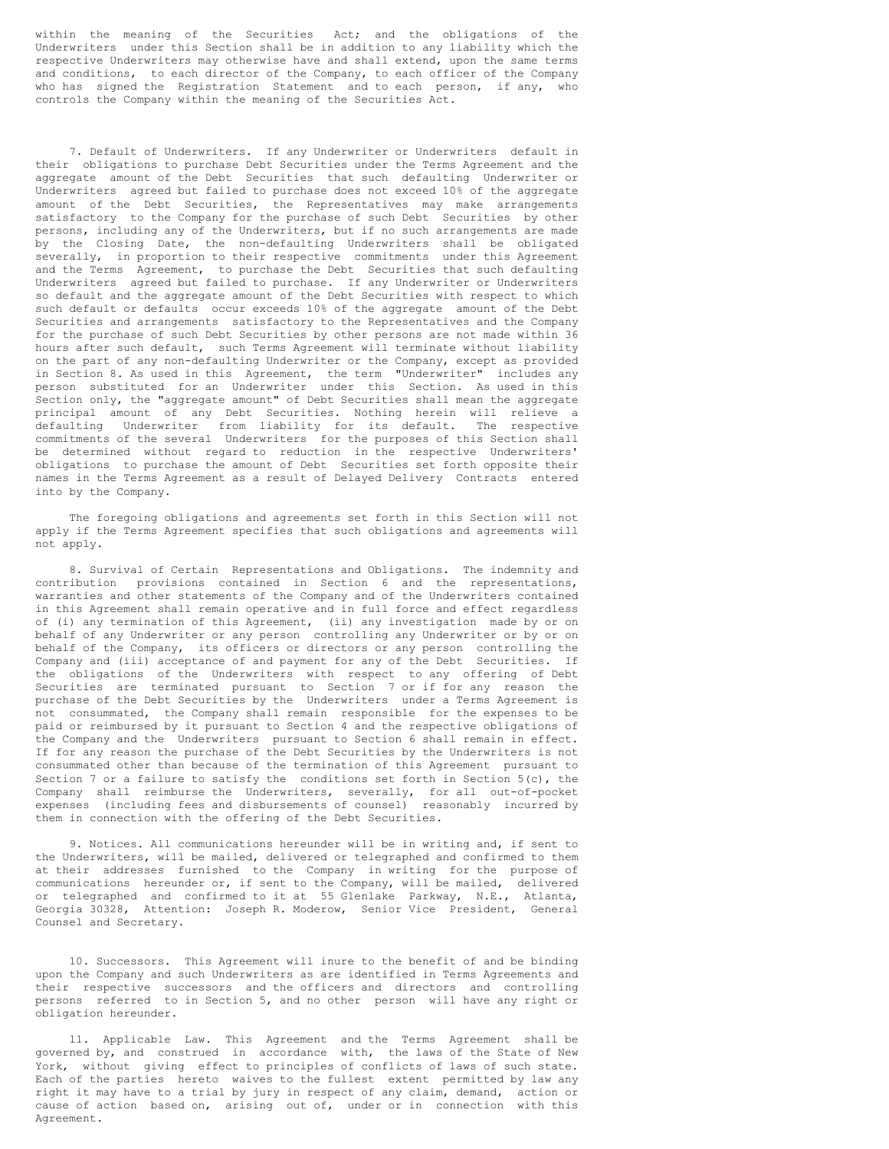within the meaning of the Securities Act; and the obligations of the Underwriters under this Section shall be in addition to any liability which the respective Underwriters may otherwise have and shall extend, upon the same terms and conditions, to each director of the Company, to each officer of the Company who has signed the Registration Statement and to each person, if any, who controls the Company within the meaning of the Securities Act.

7. Default of Underwriters. If any Underwriter or Underwriters default in their obligations to purchase Debt Securities under the Terms Agreement and the aggregate amount of the Debt Securities that such defaulting Underwriter or Underwriters agreed but failed to purchase does not exceed 10% of the aggregate amount of the Debt Securities, the Representatives may make arrangements satisfactory to the Company for the purchase of such Debt Securities by other persons, including any of the Underwriters, but if no such arrangements are made by the Closing Date, the non-defaulting Underwriters shall be obligated severally, in proportion to their respective commitments under this Agreement and the Terms Agreement, to purchase the Debt Securities that such defaulting Underwriters agreed but failed to purchase. If any Underwriter or Underwriters so default and the aggregate amount of the Debt Securities with respect to which such default or defaults occur exceeds 10% of the aggregate amount of the Debt Securities and arrangements satisfactory to the Representatives and the Company for the purchase of such Debt Securities by other persons are not made within 36 hours after such default, such Terms Agreement will terminate without liability on the part of any non-defaulting Underwriter or the Company, except as provided in Section 8. As used in this Agreement, the term "Underwriter" includes any person substituted for an Underwriter under this Section. As used in this Section only, the "aggregate amount" of Debt Securities shall mean the aggregate principal amount of any Debt Securities. Nothing herein will relieve a defaulting Underwriter from liability for its default. The respective commitments of the several Underwriters for the purposes of this Section shall be determined without regard to reduction in the respective Underwriters' obligations to purchase the amount of Debt Securities set forth opposite their names in the Terms Agreement as a result of Delayed Delivery Contracts entered into by the Company.

The foregoing obligations and agreements set forth in this Section will not apply if the Terms Agreement specifies that such obligations and agreements will not apply.

8. Survival of Certain Representations and Obligations. The indemnity and contribution provisions contained in Section 6 and the representations, warranties and other statements of the Company and of the Underwriters contained in this Agreement shall remain operative and in full force and effect regardless of (i) any termination of this Agreement, (ii) any investigation made by or on behalf of any Underwriter or any person controlling any Underwriter or by or on behalf of the Company, its officers or directors or any person controlling the Company and (iii) acceptance of and payment for any of the Debt Securities. If the obligations of the Underwriters with respect to any offering of Debt Securities are terminated pursuant to Section 7 or if for any reason the purchase of the Debt Securities by the Underwriters under a Terms Agreement is not consummated, the Company shall remain responsible for the expenses to be paid or reimbursed by it pursuant to Section 4 and the respective obligations of the Company and the Underwriters pursuant to Section 6 shall remain in effect. If for any reason the purchase of the Debt Securities by the Underwriters is not consummated other than because of the termination of this Agreement pursuant to Section 7 or a failure to satisfy the conditions set forth in Section 5(c), the Company shall reimburse the Underwriters, severally, for all out-of-pocket expenses (including fees and disbursements of counsel) reasonably incurred by them in connection with the offering of the Debt Securities.

9. Notices. All communications hereunder will be in writing and, if sent to the Underwriters, will be mailed, delivered or telegraphed and confirmed to them at their addresses furnished to the Company in writing for the purpose of communications hereunder or, if sent to the Company, will be mailed, delivered or telegraphed and confirmed to it at 55 Glenlake Parkway, N.E., Atlanta, Georgia 30328, Attention: Joseph R. Moderow, Senior Vice President, General Counsel and Secretary.

10. Successors. This Agreement will inure to the benefit of and be binding upon the Company and such Underwriters as are identified in Terms Agreements and their respective successors and the officers and directors and controlling persons referred to in Section 5, and no other person will have any right or obligation hereunder.

11. Applicable Law. This Agreement and the Terms Agreement shall be governed by, and construed in accordance with, the laws of the State of New York, without giving effect to principles of conflicts of laws of such state. Each of the parties hereto waives to the fullest extent permitted by law any right it may have to a trial by jury in respect of any claim, demand, action or cause of action based on, arising out of, under or in connection with this Agreement.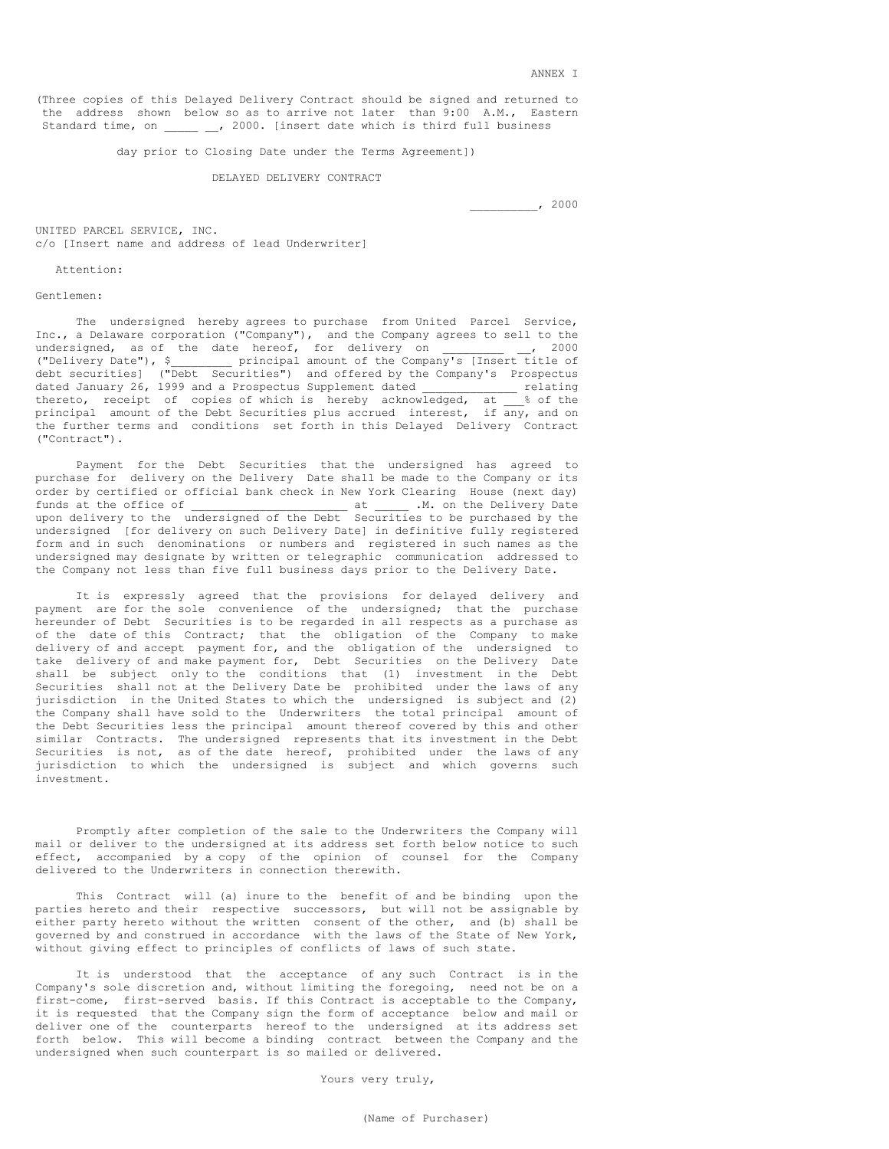(Three copies of this Delayed Delivery Contract should be signed and returned to the address shown below so as to arrive not later than 9:00 A.M., Eastern Standard time, on  $\qquad \qquad$ , 2000. [insert date which is third full business

day prior to Closing Date under the Terms Agreement])

#### DELAYED DELIVERY CONTRACT

\_\_\_\_\_\_\_\_\_\_, 2000

UNITED PARCEL SERVICE, INC. c/o [Insert name and address of lead Underwriter]

#### Attention:

## Gentlemen:

The undersigned hereby agrees to purchase from United Parcel Service, Inc., a Delaware corporation ("Company"), and the Company agrees to sell to the undersigned, as of the date hereof, for delivery on  $\qquad \qquad$ , 2000 ("Delivery Date"), \$\_\_\_\_\_\_\_\_\_ principal amount of the Company's [Insert title of debt securities] ("Debt Securities") and offered by the Company's Prospectus dated January 26, 1999 and a Prospectus Supplement dated \_\_\_\_\_\_\_\_\_\_\_\_\_\_ relating thereto, receipt of copies of which is hereby acknowledged, at  $\frac{1}{2}$  of the principal amount of the Debt Securities plus accrued interest, if any, and on principal amount of the Debt Securities plus accrued interest, the further terms and conditions set forth in this Delayed Delivery Contract ("Contract").

Payment for the Debt Securities that the undersigned has agreed to purchase for delivery on the Delivery Date shall be made to the Company or its order by certified or official bank check in New York Clearing House (next day) funds at the office of  $\qquad \qquad$  at  $\qquad \qquad$  .M. on the Delivery Date upon delivery to the undersigned of the Debt Securities to be purchased by the undersigned [for delivery on such Delivery Date] in definitive fully registered form and in such denominations or numbers and registered in such names as the undersigned may designate by written or telegraphic communication addressed to the Company not less than five full business days prior to the Delivery Date.

It is expressly agreed that the provisions for delayed delivery and payment are for the sole convenience of the undersigned; that the purchase hereunder of Debt Securities is to be regarded in all respects as a purchase as of the date of this Contract; that the obligation of the Company to make delivery of and accept payment for, and the obligation of the undersigned to take delivery of and make payment for, Debt Securities on the Delivery Date shall be subject only to the conditions that (1) investment in the Debt Securities shall not at the Delivery Date be prohibited under the laws of any jurisdiction in the United States to which the undersigned is subject and (2) the Company shall have sold to the Underwriters the total principal amount of the Debt Securities less the principal amount thereof covered by this and other similar Contracts. The undersigned represents that its investment in the Debt Securities is not, as of the date hereof, prohibited under the laws of any jurisdiction to which the undersigned is subject and which governs such investment.

Promptly after completion of the sale to the Underwriters the Company will mail or deliver to the undersigned at its address set forth below notice to such effect, accompanied by a copy of the opinion of counsel for the Company delivered to the Underwriters in connection therewith.

This Contract will (a) inure to the benefit of and be binding upon the parties hereto and their respective successors, but will not be assignable by either party hereto without the written consent of the other, and (b) shall be governed by and construed in accordance with the laws of the State of New York, without giving effect to principles of conflicts of laws of such state.

It is understood that the acceptance of any such Contract is in the Company's sole discretion and, without limiting the foregoing, need not be on a first-come, first-served basis. If this Contract is acceptable to the Company, it is requested that the Company sign the form of acceptance below and mail or deliver one of the counterparts hereof to the undersigned at its address set forth below. This will become a binding contract between the Company and the undersigned when such counterpart is so mailed or delivered.

Yours very truly,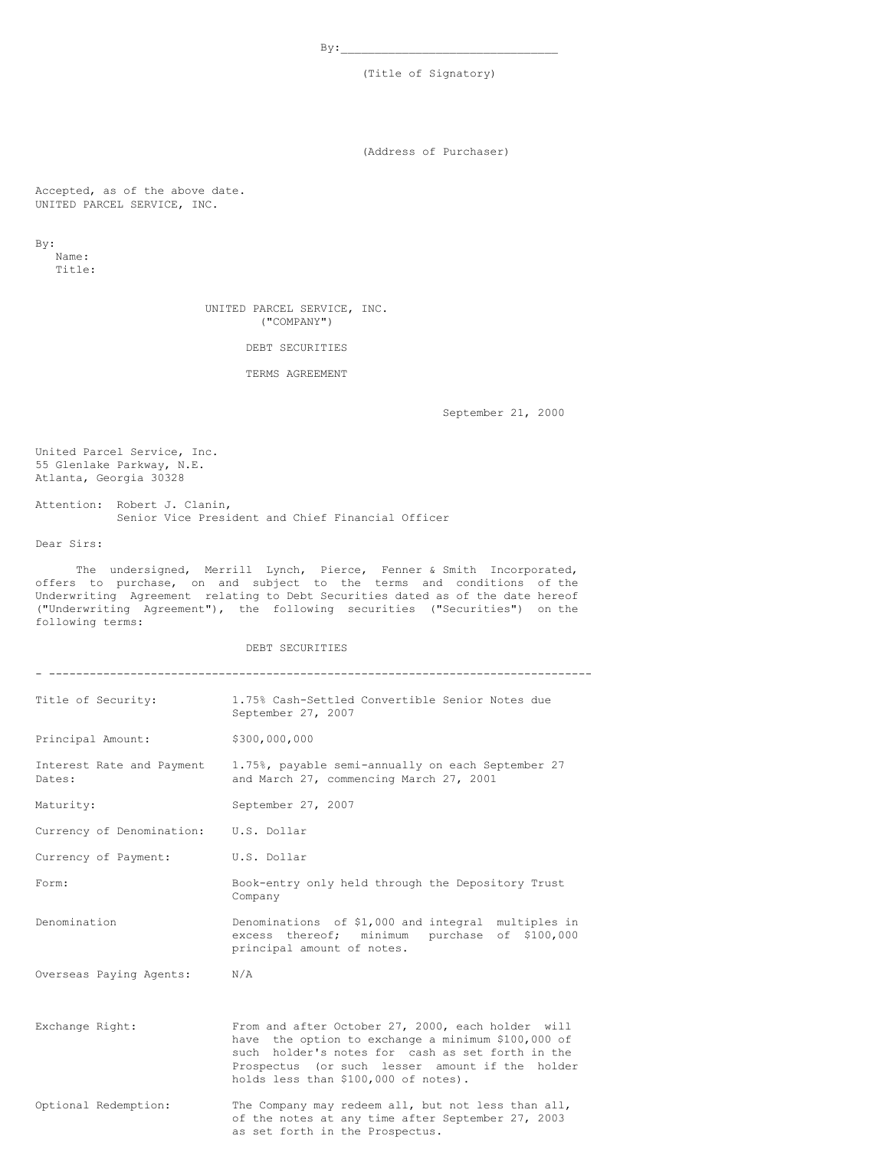$By:$ 

(Title of Signatory)

(Address of Purchaser)

Accepted, as of the above date. UNITED PARCEL SERVICE, INC.

By:

Name: Title:

> UNITED PARCEL SERVICE, INC. ("COMPANY")

> > DEBT SECURITIES

TERMS AGREEMENT

September 21, 2000

United Parcel Service, Inc. 55 Glenlake Parkway, N.E. Atlanta, Georgia 30328

Attention: Robert J. Clanin, Senior Vice President and Chief Financial Officer

Dear Sirs:

The undersigned, Merrill Lynch, Pierce, Fenner & Smith Incorporated, offers to purchase, on and subject to the terms and conditions of the Underwriting Agreement relating to Debt Securities dated as of the date hereof ("Underwriting Agreement"), the following securities ("Securities") on the following terms:

DEBT SECURITIES

| Title of Security:                    | 1.75% Cash-Settled Convertible Senior Notes due<br>September 27, 2007                                                                                                                                                                                  |
|---------------------------------------|--------------------------------------------------------------------------------------------------------------------------------------------------------------------------------------------------------------------------------------------------------|
| Principal Amount:                     | \$300,000,000                                                                                                                                                                                                                                          |
| Interest Rate and Payment<br>Dates:   | 1.75%, payable semi-annually on each September 27<br>and March 27, commencing March 27, 2001                                                                                                                                                           |
| Maturity:                             | September 27, 2007                                                                                                                                                                                                                                     |
| Currency of Denomination: U.S. Dollar |                                                                                                                                                                                                                                                        |
| Currency of Payment:                  | U.S. Dollar                                                                                                                                                                                                                                            |
| Form:                                 | Book-entry only held through the Depository Trust<br>Company                                                                                                                                                                                           |
| Denomination                          | Denominations of \$1,000 and integral multiples in<br>excess thereof; minimum purchase of \$100,000<br>principal amount of notes.                                                                                                                      |
| Overseas Paying Agents: N/A           |                                                                                                                                                                                                                                                        |
| Exchange Right:                       | From and after October 27, 2000, each holder will<br>have the option to exchange a minimum \$100,000 of<br>such holder's notes for cash as set forth in the<br>Prospectus (or such lesser amount if the holder<br>holds less than \$100,000 of notes). |
| Optional Redemption:                  | The Company may redeem all, but not less than all,<br>of the notes at any time after September 27, 2003<br>as set forth in the Prospectus.                                                                                                             |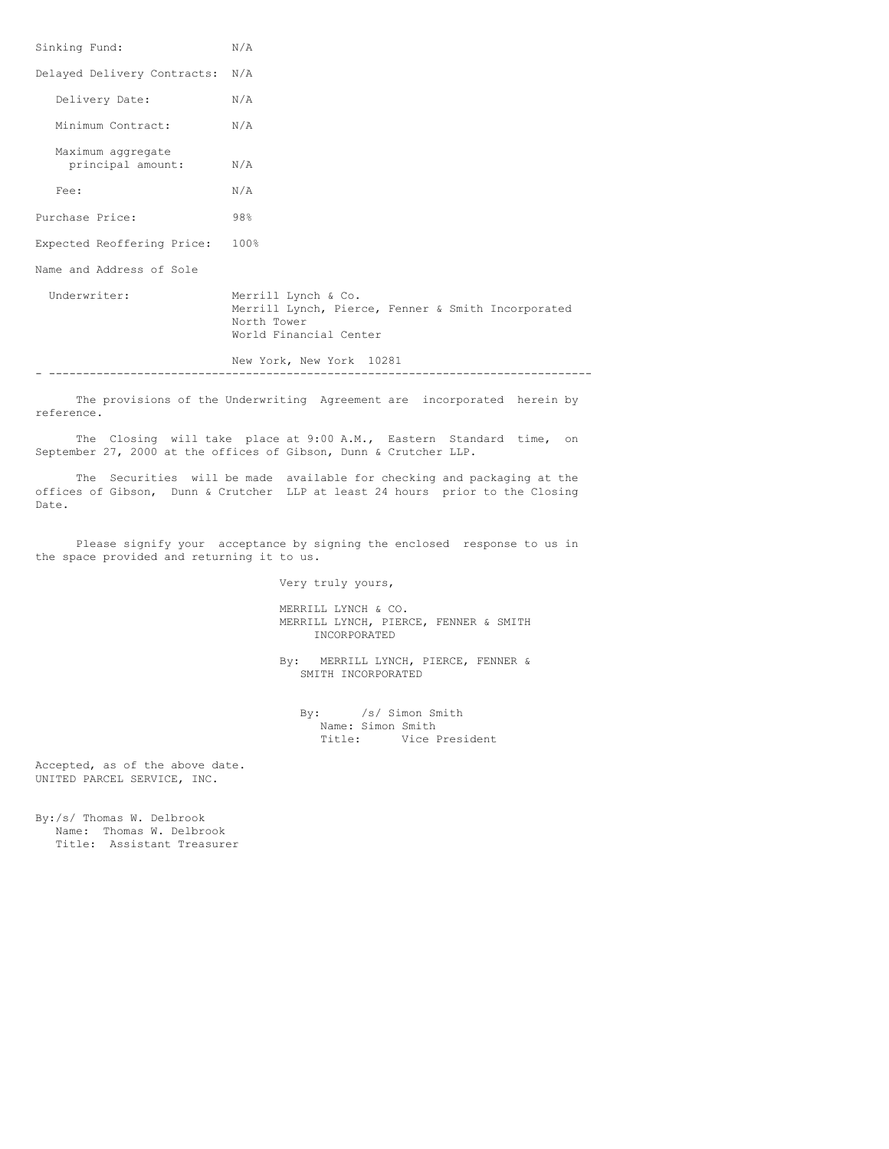| Sinking Fund:                          | N/A                                                                                                                |
|----------------------------------------|--------------------------------------------------------------------------------------------------------------------|
| Delayed Delivery Contracts: N/A        |                                                                                                                    |
| Delivery Date:                         | N/A                                                                                                                |
| Minimum Contract:                      | N/A                                                                                                                |
| Maximum aggregate<br>principal amount: | N/A                                                                                                                |
| Fee:                                   | N/A                                                                                                                |
| Purchase Price:                        | 98%                                                                                                                |
| Expected Reoffering Price:             | 100%                                                                                                               |
| Name and Address of Sole               |                                                                                                                    |
| Underwriter:                           | Merrill Lynch & Co.<br>Merrill Lynch, Pierce, Fenner & Smith Incorporated<br>North Tower<br>World Financial Center |
|                                        | New York, New York 10281                                                                                           |

The provisions of the Underwriting Agreement are incorporated herein by reference.

The Closing will take place at 9:00 A.M., Eastern Standard time, on September 27, 2000 at the offices of Gibson, Dunn & Crutcher LLP.

The Securities will be made available for checking and packaging at the offices of Gibson, Dunn & Crutcher LLP at least 24 hours prior to the Closing Date.

Please signify your acceptance by signing the enclosed response to us in the space provided and returning it to us.

Very truly yours,

MERRILL LYNCH & CO. MERRILL LYNCH, PIERCE, FENNER & SMITH INCORPORATED

By: MERRILL LYNCH, PIERCE, FENNER & SMITH INCORPORATED

By: /s/ Simon Smith Name: Simon Smith Title: Vice President

Accepted, as of the above date. UNITED PARCEL SERVICE, INC.

By:/s/ Thomas W. Delbrook Name: Thomas W. Delbrook Title: Assistant Treasurer